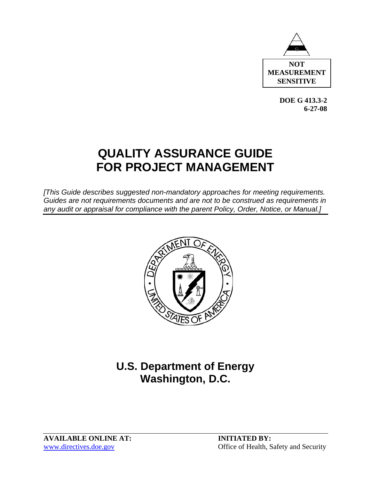

**DOE G 413.3-2 6-27-08** 

# **QUALITY ASSURANCE GUIDE FOR PROJECT MANAGEMENT**

*[This Guide describes suggested non-mandatory approaches for meeting requirements. Guides are not requirements documents and are not to be construed as requirements in any audit or appraisal for compliance with the parent Policy, Order, Notice, or Manual.]* 



# **U.S. Department of Energy Washington, D.C.**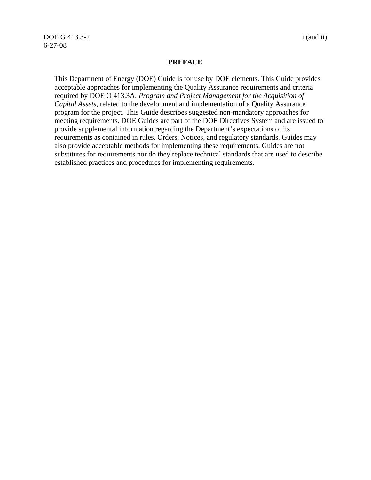DOE G 413.3-2 i (and ii) 6-27-08

#### **PREFACE**

This Department of Energy (DOE) Guide is for use by DOE elements. This Guide provides acceptable approaches for implementing the Quality Assurance requirements and criteria required by DOE O 413.3A, *Program and Project Management for the Acquisition of Capital Assets*, related to the development and implementation of a Quality Assurance program for the project. This Guide describes suggested non-mandatory approaches for meeting requirements. DOE Guides are part of the DOE Directives System and are issued to provide supplemental information regarding the Department's expectations of its requirements as contained in rules, Orders, Notices, and regulatory standards. Guides may also provide acceptable methods for implementing these requirements. Guides are not substitutes for requirements nor do they replace technical standards that are used to describe established practices and procedures for implementing requirements.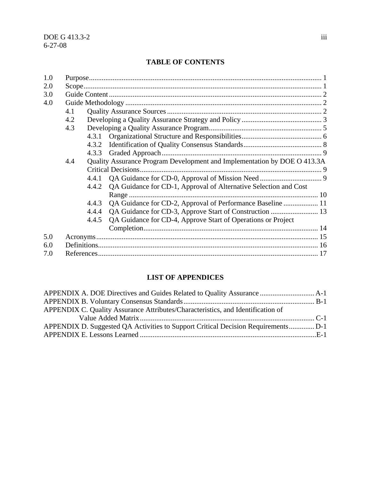#### **TABLE OF CONTENTS**

| 4.1 |       |                                                                  |                                                                          |
|-----|-------|------------------------------------------------------------------|--------------------------------------------------------------------------|
| 4.2 |       |                                                                  |                                                                          |
| 4.3 |       |                                                                  |                                                                          |
|     | 4.3.1 |                                                                  |                                                                          |
|     | 4.3.2 |                                                                  |                                                                          |
|     | 4.3.3 |                                                                  |                                                                          |
| 4.4 |       |                                                                  |                                                                          |
|     |       |                                                                  |                                                                          |
|     | 4.4.1 |                                                                  |                                                                          |
|     | 4.4.2 | QA Guidance for CD-1, Approval of Alternative Selection and Cost |                                                                          |
|     |       |                                                                  |                                                                          |
|     | 4.4.3 | QA Guidance for CD-2, Approval of Performance Baseline  11       |                                                                          |
|     | 4.4.4 |                                                                  |                                                                          |
|     | 4.4.5 | QA Guidance for CD-4, Approve Start of Operations or Project     |                                                                          |
|     |       |                                                                  |                                                                          |
|     |       |                                                                  |                                                                          |
|     |       |                                                                  |                                                                          |
|     |       |                                                                  |                                                                          |
|     |       |                                                                  | Quality Assurance Program Development and Implementation by DOE O 413.3A |

### **LIST OF APPENDICES**

| APPENDIX C. Quality Assurance Attributes/Characteristics, and Identification of  |  |
|----------------------------------------------------------------------------------|--|
|                                                                                  |  |
| APPENDIX D. Suggested QA Activities to Support Critical Decision RequirementsD-1 |  |
|                                                                                  |  |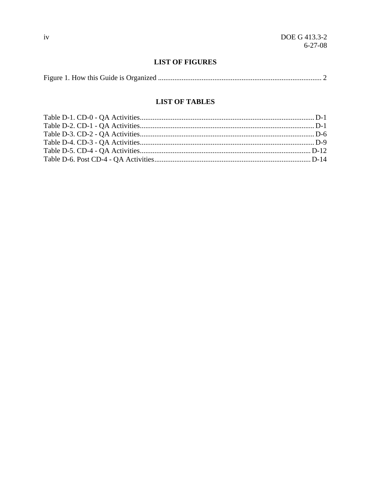#### **LIST OF FIGURES**

|--|--|--|

#### **LIST OF TABLES**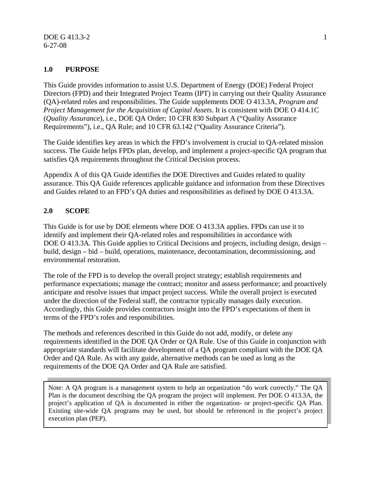#### **1.0 PURPOSE**

This Guide provides information to assist U.S. Department of Energy (DOE) Federal Project Directors (FPD) and their Integrated Project Teams (IPT) in carrying out their Quality Assurance (QA)-related roles and responsibilities. The Guide supplements DOE O 413.3A, *Program and Project Management for the Acquisition of Capital Assets*. It is consistent with DOE O 414.1C (*Quality Assurance*), i.e., DOE QA Order; 10 CFR 830 Subpart A ("Quality Assurance Requirements"), i.e., QA Rule; and 10 CFR 63.142 ("Quality Assurance Criteria").

The Guide identifies key areas in which the FPD's involvement is crucial to QA-related mission success. The Guide helps FPDs plan, develop, and implement a project-specific QA program that satisfies QA requirements throughout the Critical Decision process.

Appendix A of this QA Guide identifies the DOE Directives and Guides related to quality assurance. This QA Guide references applicable guidance and information from these Directives and Guides related to an FPD's QA duties and responsibilities as defined by DOE O 413.3A.

#### **2.0 SCOPE**

This Guide is for use by DOE elements where DOE O 413.3A applies. FPDs can use it to identify and implement their QA-related roles and responsibilities in accordance with DOE O 413.3A*.* This Guide applies to Critical Decisions and projects, including design, design – build, design – bid – build, operations, maintenance, decontamination, decommissioning, and environmental restoration.

The role of the FPD is to develop the overall project strategy; establish requirements and performance expectations; manage the contract; monitor and assess performance; and proactively anticipate and resolve issues that impact project success. While the overall project is executed under the direction of the Federal staff, the contractor typically manages daily execution. Accordingly, this Guide provides contractors insight into the FPD's expectations of them in terms of the FPD's roles and responsibilities.

The methods and references described in this Guide do not add, modify, or delete any requirements identified in the DOE QA Order or QA Rule. Use of this Guide in conjunction with appropriate standards will facilitate development of a QA program compliant with the DOE QA Order and QA Rule. As with any guide, alternative methods can be used as long as the requirements of the DOE QA Order and QA Rule are satisfied.

Note: A QA program is a management system to help an organization "do work correctly." The QA Plan is the document describing the QA program the project will implement. Per DOE O 413.3A, the project's application of QA is documented in either the organization- or project-specific QA Plan. Existing site-wide QA programs may be used, but should be referenced in the project's project execution plan (PEP).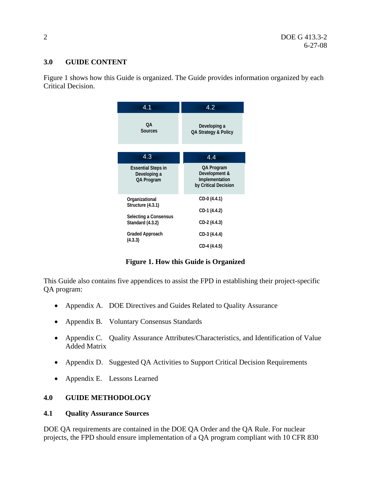#### **3.0 GUIDE CONTENT**

Figure 1 shows how this Guide is organized. The Guide provides information organized by each Critical Decision.

| 4.1                                                                              | 4.2                                                                   |
|----------------------------------------------------------------------------------|-----------------------------------------------------------------------|
| 0A<br><b>Sources</b>                                                             | Developing a<br>QA Strategy & Policy                                  |
| 4.3                                                                              | 4.4                                                                   |
| <b>Essential Steps in</b><br>Developing a<br>QA Program                          | QA Program<br>Development &<br>Implementation<br>by Critical Decision |
| Organizational<br>Structure (4.3.1)<br>Selecting a Consensus<br>Standard (4.3.2) | CD-0 (4.4.1)<br>CD-1 (4.4.2)<br>CD-2 (4.4.3)                          |
| Graded Approach<br>(4.3.3)                                                       | CD-3 (4.4.4)<br>CD-4 (4.4.5)                                          |

**Figure 1. How this Guide is Organized** 

This Guide also contains five appendices to assist the FPD in establishing their project-specific QA program:

- Appendix A. DOE Directives and Guides Related to Quality Assurance
- Appendix B. Voluntary Consensus Standards
- Appendix C. Quality Assurance Attributes/Characteristics, and Identification of Value Added Matrix
- Appendix D. Suggested QA Activities to Support Critical Decision Requirements
- Appendix E. Lessons Learned

#### **4.0 GUIDE METHODOLOGY**

#### **4.1 Quality Assurance Sources**

DOE QA requirements are contained in the DOE QA Order and the QA Rule. For nuclear projects, the FPD should ensure implementation of a QA program compliant with 10 CFR 830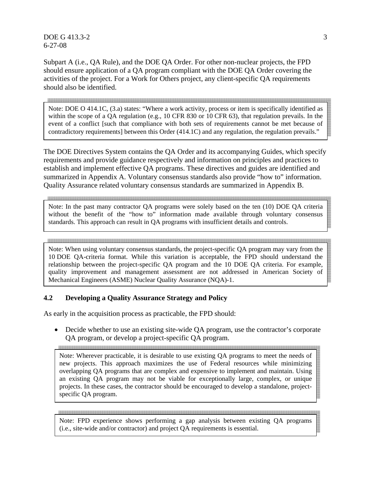$DOE G 413.3-2$  3 6-27-08

Subpart A (i.e., QA Rule), and the DOE QA Order. For other non-nuclear projects, the FPD should ensure application of a QA program compliant with the DOE QA Order covering the activities of the project. For a Work for Others project, any client-specific QA requirements should also be identified.

and the contract of the contract of the contract of the contract of the contract of the contract of the contract of the contract of the contract of the contract of the contract of the contract of the contract of the contra Note: DOE O 414.1C, (3.a) states: "Where a work activity, process or item is specifically identified as within the scope of a QA regulation (e.g., 10 CFR 830 or 10 CFR 63), that regulation prevails. In the event of a conflict [such that compliance with both sets of requirements cannot be met because of contradictory requirements] between this Order (414.1C) and any regulation, the regulation prevails."

The DOE Directives System contains the QA Order and its accompanying Guides, which specify requirements and provide guidance respectively and information on principles and practices to establish and implement effective QA programs. These directives and guides are identified and summarized in Appendix A. Voluntary consensus standards also provide "how to" information. Quality Assurance related voluntary consensus standards are summarized in Appendix B.

Note: In the past many contractor QA programs were solely based on the ten (10) DOE QA criteria without the benefit of the "how to" information made available through voluntary consensus standards. This approach can result in QA programs with insufficient details and controls.

Note: When using voluntary consensus standards, the project-specific QA program may vary from the 10 DOE QA-criteria format. While this variation is acceptable, the FPD should understand the relationship between the project-specific QA program and the 10 DOE QA criteria. For example, quality improvement and management assessment are not addressed in American Society of Mechanical Engineers (ASME) Nuclear Quality Assurance (NQA)-1.

#### **4.2 Developing a Quality Assurance Strategy and Policy**

As early in the acquisition process as practicable, the FPD should:

• Decide whether to use an existing site-wide QA program, use the contractor's corporate QA program, or develop a project-specific QA program.

Note: Wherever practicable, it is desirable to use existing QA programs to meet the needs of new projects. This approach maximizes the use of Federal resources while minimizing overlapping QA programs that are complex and expensive to implement and maintain. Using an existing QA program may not be viable for exceptionally large, complex, or unique projects. In these cases, the contractor should be encouraged to develop a standalone, projectspecific QA program.

Note: FPD experience shows performing a gap analysis between existing QA programs (i.e., site-wide and/or contractor) and project QA requirements is essential.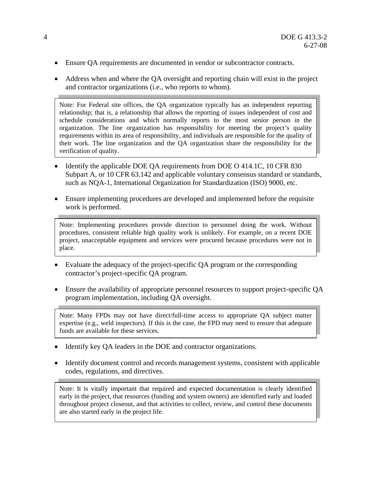- Ensure QA requirements are documented in vendor or subcontractor contracts.
- Address when and where the QA oversight and reporting chain will exist in the project and contractor organizations (i.e., who reports to whom).

Note: For Federal site offices, the QA organization typically has an independent reporting relationship; that is, a relationship that allows the reporting of issues independent of cost and schedule considerations and which normally reports to the most senior person in the organization. The line organization has responsibility for meeting the project's quality requirements within its area of responsibility, and individuals are responsible for the quality of their work. The line organization and the QA organization share the responsibility for the verification of quality.

- Identify the applicable DOE QA requirements from DOE O 414.1C, 10 CFR 830 Subpart A, or 10 CFR 63.142 and applicable voluntary consensus standard or standards, such as NQA-1, International Organization for Standardization (ISO) 9000, etc.
- Ensure implementing procedures are developed and implemented before the requisite work is performed.

Note: Implementing procedures provide direction to personnel doing the work. Without procedures, consistent reliable high quality work is unlikely. For example, on a recent DOE project, unacceptable equipment and services were procured because procedures were not in place.

- Evaluate the adequacy of the project-specific QA program or the corresponding contractor's project-specific QA program.
- Ensure the availability of appropriate personnel resources to support project-specific QA program implementation, including QA oversight.

Note: Many FPDs may not have direct/full-time access to appropriate QA subject matter expertise (e.g., weld inspectors). If this is the case, the FPD may need to ensure that adequate funds are available for these services.

Identify key QA leaders in the DOE and contractor organizations.

assa maa saasa saasa saasa saasa saasa saasa saasa saasa saasa saasa saasa saasa saasa saasa saasa

• Identify document control and records management systems, consistent with applicable codes, regulations, and directives.

Note: It is vitally important that required and expected documentation is clearly identified early in the project, that resources (funding and system owners) are identified early and loaded throughout project closeout, and that activities to collect, review, and control these documents are also started early in the project life.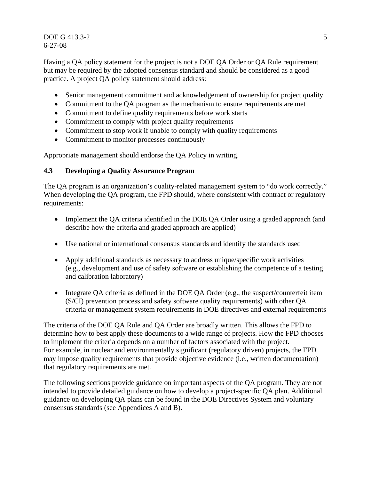$DOE G 413.3-2$  5 6-27-08

Having a QA policy statement for the project is not a DOE QA Order or QA Rule requirement but may be required by the adopted consensus standard and should be considered as a good practice. A project QA policy statement should address:

- Senior management commitment and acknowledgement of ownership for project quality
- Commitment to the QA program as the mechanism to ensure requirements are met
- Commitment to define quality requirements before work starts
- Commitment to comply with project quality requirements
- Commitment to stop work if unable to comply with quality requirements
- Commitment to monitor processes continuously

Appropriate management should endorse the QA Policy in writing.

#### **4.3 Developing a Quality Assurance Program**

The QA program is an organization's quality-related management system to "do work correctly." When developing the QA program, the FPD should, where consistent with contract or regulatory requirements:

- Implement the QA criteria identified in the DOE QA Order using a graded approach (and describe how the criteria and graded approach are applied)
- Use national or international consensus standards and identify the standards used
- Apply additional standards as necessary to address unique/specific work activities (e.g., development and use of safety software or establishing the competence of a testing and calibration laboratory)
- Integrate QA criteria as defined in the DOE QA Order (e.g., the suspect/counterfeit item (S/CI) prevention process and safety software quality requirements) with other QA criteria or management system requirements in DOE directives and external requirements

The criteria of the DOE QA Rule and QA Order are broadly written. This allows the FPD to determine how to best apply these documents to a wide range of projects. How the FPD chooses to implement the criteria depends on a number of factors associated with the project. For example, in nuclear and environmentally significant (regulatory driven) projects, the FPD may impose quality requirements that provide objective evidence (i.e., written documentation) that regulatory requirements are met.

The following sections provide guidance on important aspects of the QA program. They are not intended to provide detailed guidance on how to develop a project-specific QA plan. Additional guidance on developing QA plans can be found in the DOE Directives System and voluntary consensus standards (see Appendices A and B).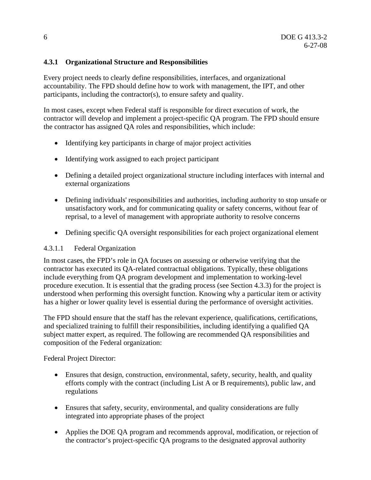#### **4.3.1 Organizational Structure and Responsibilities**

Every project needs to clearly define responsibilities, interfaces, and organizational accountability. The FPD should define how to work with management, the IPT, and other participants, including the contractor(s), to ensure safety and quality.

In most cases, except when Federal staff is responsible for direct execution of work, the contractor will develop and implement a project-specific QA program. The FPD should ensure the contractor has assigned QA roles and responsibilities, which include:

- Identifying key participants in charge of major project activities
- Identifying work assigned to each project participant
- Defining a detailed project organizational structure including interfaces with internal and external organizations
- Defining individuals' responsibilities and authorities, including authority to stop unsafe or unsatisfactory work, and for communicating quality or safety concerns, without fear of reprisal, to a level of management with appropriate authority to resolve concerns
- Defining specific QA oversight responsibilities for each project organizational element

#### 4.3.1.1 Federal Organization

In most cases, the FPD's role in QA focuses on assessing or otherwise verifying that the contractor has executed its QA-related contractual obligations. Typically, these obligations include everything from QA program development and implementation to working-level procedure execution. It is essential that the grading process (see Section 4.3.3) for the project is understood when performing this oversight function. Knowing why a particular item or activity has a higher or lower quality level is essential during the performance of oversight activities.

The FPD should ensure that the staff has the relevant experience, qualifications, certifications, and specialized training to fulfill their responsibilities, including identifying a qualified QA subject matter expert, as required. The following are recommended QA responsibilities and composition of the Federal organization:

Federal Project Director:

- Ensures that design, construction, environmental, safety, security, health, and quality efforts comply with the contract (including List A or B requirements), public law, and regulations
- Ensures that safety, security, environmental, and quality considerations are fully integrated into appropriate phases of the project
- Applies the DOE QA program and recommends approval, modification, or rejection of the contractor's project-specific QA programs to the designated approval authority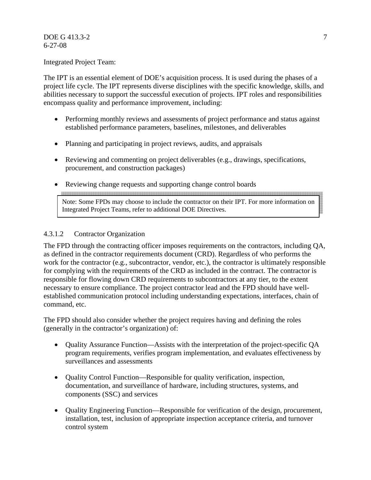#### DOE G 413.3-2 7 6-27-08

Integrated Project Team:

The IPT is an essential element of DOE's acquisition process. It is used during the phases of a project life cycle. The IPT represents diverse disciplines with the specific knowledge, skills, and abilities necessary to support the successful execution of projects. IPT roles and responsibilities encompass quality and performance improvement, including:

- Performing monthly reviews and assessments of project performance and status against established performance parameters, baselines, milestones, and deliverables
- Planning and participating in project reviews, audits, and appraisals
- Reviewing and commenting on project deliverables (e.g., drawings, specifications, procurement, and construction packages)
- Reviewing change requests and supporting change control boards

Note: Some FPDs may choose to include the contractor on their IPT. For more information on Integrated Project Teams, refer to additional DOE Directives.

#### 4.3.1.2 Contractor Organization

The FPD through the contracting officer imposes requirements on the contractors, including QA, as defined in the contractor requirements document (CRD). Regardless of who performs the work for the contractor (e.g., subcontractor, vendor, etc.), the contractor is ultimately responsible for complying with the requirements of the CRD as included in the contract. The contractor is responsible for flowing down CRD requirements to subcontractors at any tier, to the extent necessary to ensure compliance. The project contractor lead and the FPD should have wellestablished communication protocol including understanding expectations, interfaces, chain of command, etc.

The FPD should also consider whether the project requires having and defining the roles (generally in the contractor's organization) of:

- Quality Assurance Function—Assists with the interpretation of the project-specific QA program requirements, verifies program implementation, and evaluates effectiveness by surveillances and assessments
- Quality Control Function—Responsible for quality verification, inspection, documentation, and surveillance of hardware, including structures, systems, and components (SSC) and services
- Quality Engineering Function—Responsible for verification of the design, procurement, installation, test, inclusion of appropriate inspection acceptance criteria, and turnover control system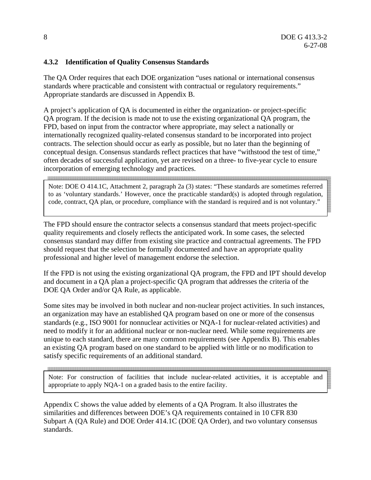#### **4.3.2 Identification of Quality Consensus Standards**

The QA Order requires that each DOE organization "uses national or international consensus standards where practicable and consistent with contractual or regulatory requirements." Appropriate standards are discussed in Appendix B.

A project's application of QA is documented in either the organization- or project-specific QA program. If the decision is made not to use the existing organizational QA program, the FPD, based on input from the contractor where appropriate, may select a nationally or internationally recognized quality-related consensus standard to be incorporated into project contracts. The selection should occur as early as possible, but no later than the beginning of conceptual design. Consensus standards reflect practices that have "withstood the test of time," often decades of successful application, yet are revised on a three- to five-year cycle to ensure incorporation of emerging technology and practices. 

Note: DOE O 414.1C, Attachment 2, paragraph 2a (3) states: "These standards are sometimes referred to as 'voluntary standards.' However, once the practicable standard(s) is adopted through regulation, code, contract, QA plan, or procedure, compliance with the standard is required and is not voluntary."

The FPD should ensure the contractor selects a consensus standard that meets project-specific quality requirements and closely reflects the anticipated work. In some cases, the selected consensus standard may differ from existing site practice and contractual agreements. The FPD should request that the selection be formally documented and have an appropriate quality professional and higher level of management endorse the selection.

If the FPD is not using the existing organizational QA program, the FPD and IPT should develop and document in a QA plan a project-specific QA program that addresses the criteria of the DOE QA Order and/or QA Rule, as applicable.

Some sites may be involved in both nuclear and non-nuclear project activities. In such instances, an organization may have an established QA program based on one or more of the consensus standards (e.g., ISO 9001 for nonnuclear activities or NQA-1 for nuclear-related activities) and need to modify it for an additional nuclear or non-nuclear need. While some requirements are unique to each standard, there are many common requirements (see Appendix B). This enables an existing QA program based on one standard to be applied with little or no modification to satisfy specific requirements of an additional standard.

<u> 1989 - Johann Stoff, Amerikaansk politiker (\* 1958)</u>

Note: For construction of facilities that include nuclear-related activities, it is acceptable and appropriate to apply NQA-1 on a graded basis to the entire facility.

Appendix C shows the value added by elements of a QA Program. It also illustrates the similarities and differences between DOE's QA requirements contained in 10 CFR 830 Subpart A (QA Rule) and DOE Order 414.1C (DOE QA Order), and two voluntary consensus standards.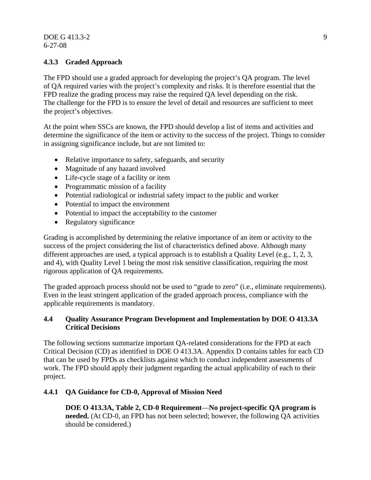#### DOE G 413.3-2 9 6-27-08

#### **4.3.3 Graded Approach**

The FPD should use a graded approach for developing the project's QA program. The level of QA required varies with the project's complexity and risks. It is therefore essential that the FPD realize the grading process may raise the required QA level depending on the risk. The challenge for the FPD is to ensure the level of detail and resources are sufficient to meet the project's objectives.

At the point when SSCs are known, the FPD should develop a list of items and activities and determine the significance of the item or activity to the success of the project. Things to consider in assigning significance include, but are not limited to:

- Relative importance to safety, safeguards, and security
- Magnitude of any hazard involved
- Life-cycle stage of a facility or item
- Programmatic mission of a facility
- Potential radiological or industrial safety impact to the public and worker
- Potential to impact the environment
- Potential to impact the acceptability to the customer
- Regulatory significance

Grading is accomplished by determining the relative importance of an item or activity to the success of the project considering the list of characteristics defined above. Although many different approaches are used, a typical approach is to establish a Quality Level (e.g., 1, 2, 3, and 4), with Quality Level 1 being the most risk sensitive classification, requiring the most rigorous application of QA requirements.

The graded approach process should not be used to "grade to zero" (i.e., eliminate requirements). Even in the least stringent application of the graded approach process, compliance with the applicable requirements is mandatory.

#### **4.4 Quality Assurance Program Development and Implementation by DOE O 413.3A Critical Decisions**

The following sections summarize important QA-related considerations for the FPD at each Critical Decision (CD) as identified in DOE O 413.3A. Appendix D contains tables for each CD that can be used by FPDs as checklists against which to conduct independent assessments of work. The FPD should apply their judgment regarding the actual applicability of each to their project.

#### **4.4.1 QA Guidance for CD-0, Approval of Mission Need**

**DOE O 413.3A, Table 2, CD-0 Requirement**—**No project-specific QA program is needed.** (At CD-0, an FPD has not been selected; however, the following QA activities should be considered.)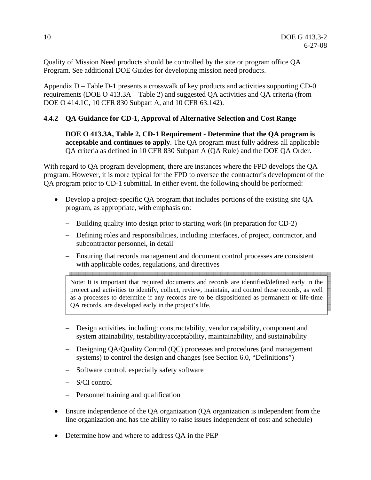Quality of Mission Need products should be controlled by the site or program office QA Program. See additional DOE Guides for developing mission need products.

Appendix D – Table D-1 presents a crosswalk of key products and activities supporting CD-0 requirements (DOE O 413.3A – Table 2) and suggested QA activities and QA criteria (from DOE O 414.1C, 10 CFR 830 Subpart A, and 10 CFR 63.142).

#### **4.4.2 QA Guidance for CD-1, Approval of Alternative Selection and Cost Range**

**DOE O 413.3A, Table 2, CD-1 Requirement - Determine that the QA program is acceptable and continues to apply**. The QA program must fully address all applicable QA criteria as defined in 10 CFR 830 Subpart A (QA Rule) and the DOE QA Order.

With regard to QA program development, there are instances where the FPD develops the QA program. However, it is more typical for the FPD to oversee the contractor's development of the QA program prior to CD-1 submittal. In either event, the following should be performed:

- Develop a project-specific QA program that includes portions of the existing site QA program, as appropriate, with emphasis on:
	- − Building quality into design prior to starting work (in preparation for CD-2)
	- − Defining roles and responsibilities, including interfaces, of project, contractor, and subcontractor personnel, in detail
	- − Ensuring that records management and document control processes are consistent with applicable codes, regulations, and directives

Note: It is important that required documents and records are identified/defined early in the project and activities to identify, collect, review, maintain, and control these records, as well as a processes to determine if any records are to be dispositioned as permanent or life-time QA records, are developed early in the project's life.

- − Design activities, including: constructability, vendor capability, component and system attainability, testability/acceptability, maintainability, and sustainability
- − Designing QA/Quality Control (QC) processes and procedures (and management systems) to control the design and changes (see Section 6.0, "Definitions")
- − Software control, especially safety software
- − S/CI control
- − Personnel training and qualification
- Ensure independence of the QA organization (QA organization is independent from the line organization and has the ability to raise issues independent of cost and schedule)
- Determine how and where to address QA in the PEP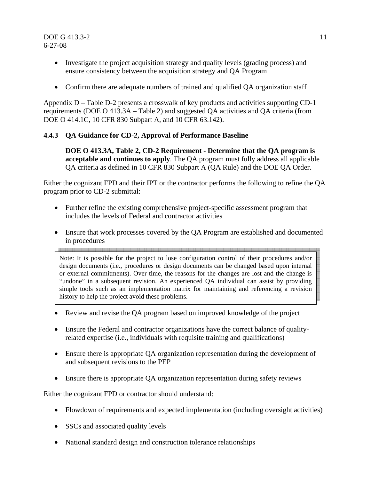#### **DOE G 413.3-2** 11 6-27-08

- Investigate the project acquisition strategy and quality levels (grading process) and ensure consistency between the acquisition strategy and QA Program
- Confirm there are adequate numbers of trained and qualified QA organization staff

Appendix D – Table D-2 presents a crosswalk of key products and activities supporting CD-1 requirements (DOE O 413.3A – Table 2) and suggested QA activities and QA criteria (from DOE O 414.1C, 10 CFR 830 Subpart A, and 10 CFR 63.142).

#### **4.4.3 QA Guidance for CD-2, Approval of Performance Baseline**

**DOE O 413.3A, Table 2, CD-2 Requirement - Determine that the QA program is acceptable and continues to apply**. The QA program must fully address all applicable QA criteria as defined in 10 CFR 830 Subpart A (QA Rule) and the DOE QA Order.

Either the cognizant FPD and their IPT or the contractor performs the following to refine the QA program prior to CD-2 submittal:

- Further refine the existing comprehensive project-specific assessment program that includes the levels of Federal and contractor activities
- Ensure that work processes covered by the QA Program are established and documented in procedures

Note: It is possible for the project to lose configuration control of their procedures and/or design documents (i.e., procedures or design documents can be changed based upon internal or external commitments). Over time, the reasons for the changes are lost and the change is "undone" in a subsequent revision. An experienced QA individual can assist by providing simple tools such as an implementation matrix for maintaining and referencing a revision history to help the project avoid these problems.

- Review and revise the QA program based on improved knowledge of the project
- Ensure the Federal and contractor organizations have the correct balance of qualityrelated expertise (i.e., individuals with requisite training and qualifications)
- Ensure there is appropriate OA organization representation during the development of and subsequent revisions to the PEP
- Ensure there is appropriate QA organization representation during safety reviews

Either the cognizant FPD or contractor should understand:

- Flowdown of requirements and expected implementation (including oversight activities)
- SSCs and associated quality levels
- National standard design and construction tolerance relationships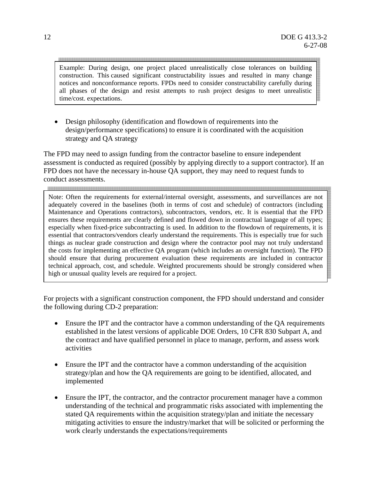Example: During design, one project placed unrealistically close tolerances on building construction. This caused significant constructability issues and resulted in many change notices and nonconformance reports. FPDs need to consider constructability carefully during all phases of the design and resist attempts to rush project designs to meet unrealistic time/cost. expectations.

• Design philosophy (identification and flowdown of requirements into the design/performance specifications) to ensure it is coordinated with the acquisition strategy and QA strategy

The FPD may need to assign funding from the contractor baseline to ensure independent assessment is conducted as required (possibly by applying directly to a support contractor). If an FPD does not have the necessary in-house QA support, they may need to request funds to conduct assessments.

Note: Often the requirements for external/internal oversight, assessments, and surveillances are not adequately covered in the baselines (both in terms of cost and schedule) of contractors (including Maintenance and Operations contractors), subcontractors, vendors, etc. It is essential that the FPD ensures these requirements are clearly defined and flowed down in contractual language of all types; especially when fixed-price subcontracting is used. In addition to the flowdown of requirements, it is essential that contractors/vendors clearly understand the requirements. This is especially true for such things as nuclear grade construction and design where the contractor pool may not truly understand the costs for implementing an effective QA program (which includes an oversight function). The FPD should ensure that during procurement evaluation these requirements are included in contractor technical approach, cost, and schedule. Weighted procurements should be strongly considered when high or unusual quality levels are required for a project.

For projects with a significant construction component, the FPD should understand and consider the following during CD-2 preparation:

- Ensure the IPT and the contractor have a common understanding of the QA requirements established in the latest versions of applicable DOE Orders, 10 CFR 830 Subpart A, and the contract and have qualified personnel in place to manage, perform, and assess work activities
- Ensure the IPT and the contractor have a common understanding of the acquisition strategy/plan and how the QA requirements are going to be identified, allocated, and implemented
- Ensure the IPT, the contractor, and the contractor procurement manager have a common understanding of the technical and programmatic risks associated with implementing the stated QA requirements within the acquisition strategy/plan and initiate the necessary mitigating activities to ensure the industry/market that will be solicited or performing the work clearly understands the expectations/requirements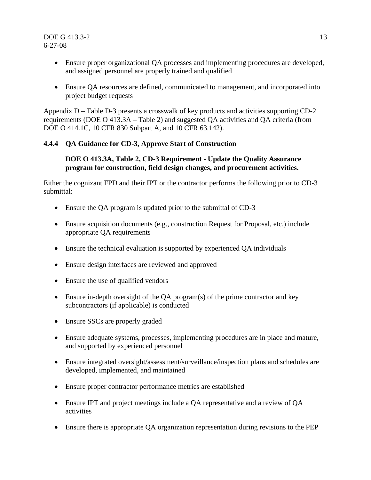- Ensure proper organizational QA processes and implementing procedures are developed, and assigned personnel are properly trained and qualified
- Ensure QA resources are defined, communicated to management, and incorporated into project budget requests

Appendix D – Table D-3 presents a crosswalk of key products and activities supporting CD-2 requirements (DOE O 413.3A – Table 2) and suggested QA activities and QA criteria (from DOE O 414.1C, 10 CFR 830 Subpart A, and 10 CFR 63.142).

#### **4.4.4 QA Guidance for CD-3, Approve Start of Construction**

#### **DOE O 413.3A, Table 2, CD-3 Requirement - Update the Quality Assurance program for construction, field design changes, and procurement activities.**

Either the cognizant FPD and their IPT or the contractor performs the following prior to CD-3 submittal:

- Ensure the QA program is updated prior to the submittal of CD-3
- Ensure acquisition documents (e.g., construction Request for Proposal, etc.) include appropriate QA requirements
- Ensure the technical evaluation is supported by experienced QA individuals
- Ensure design interfaces are reviewed and approved
- Ensure the use of qualified vendors
- Ensure in-depth oversight of the QA program(s) of the prime contractor and key subcontractors (if applicable) is conducted
- Ensure SSCs are properly graded
- Ensure adequate systems, processes, implementing procedures are in place and mature, and supported by experienced personnel
- Ensure integrated oversight/assessment/surveillance/inspection plans and schedules are developed, implemented, and maintained
- Ensure proper contractor performance metrics are established
- Ensure IPT and project meetings include a QA representative and a review of QA activities
- Ensure there is appropriate QA organization representation during revisions to the PEP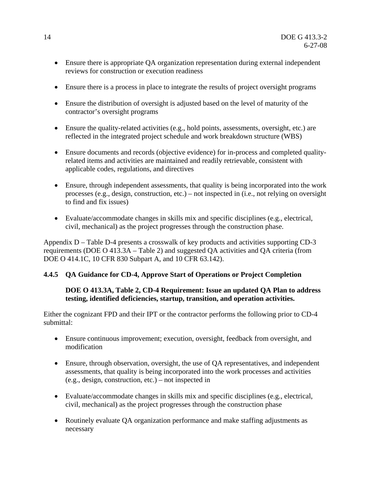- Ensure there is appropriate QA organization representation during external independent reviews for construction or execution readiness
- Ensure there is a process in place to integrate the results of project oversight programs
- Ensure the distribution of oversight is adjusted based on the level of maturity of the contractor's oversight programs
- Ensure the quality-related activities (e.g., hold points, assessments, oversight, etc.) are reflected in the integrated project schedule and work breakdown structure (WBS)
- Ensure documents and records (objective evidence) for in-process and completed qualityrelated items and activities are maintained and readily retrievable, consistent with applicable codes, regulations, and directives
- Ensure, through independent assessments, that quality is being incorporated into the work processes (e.g., design, construction, etc.) – not inspected in (i.e., not relying on oversight to find and fix issues)
- Evaluate/accommodate changes in skills mix and specific disciplines (e.g., electrical, civil, mechanical) as the project progresses through the construction phase.

Appendix D – Table D-4 presents a crosswalk of key products and activities supporting CD-3 requirements (DOE O 413.3A – Table 2) and suggested QA activities and QA criteria (from DOE O 414.1C, 10 CFR 830 Subpart A, and 10 CFR 63.142).

#### **4.4.5 QA Guidance for CD-4, Approve Start of Operations or Project Completion**

#### **DOE O 413.3A, Table 2, CD-4 Requirement: Issue an updated QA Plan to address testing, identified deficiencies, startup, transition, and operation activities.**

Either the cognizant FPD and their IPT or the contractor performs the following prior to CD-4 submittal:

- Ensure continuous improvement; execution, oversight, feedback from oversight, and modification
- Ensure, through observation, oversight, the use of QA representatives, and independent assessments, that quality is being incorporated into the work processes and activities (e.g., design, construction, etc.) – not inspected in
- Evaluate/accommodate changes in skills mix and specific disciplines (e.g., electrical, civil, mechanical) as the project progresses through the construction phase
- Routinely evaluate QA organization performance and make staffing adjustments as necessary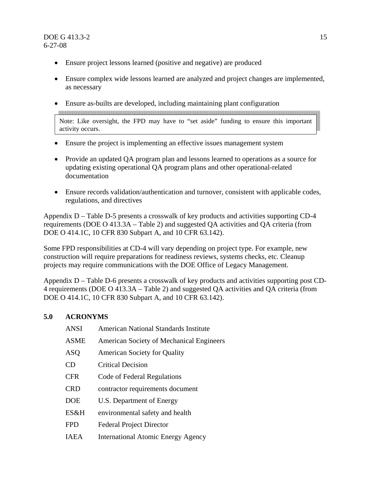- Ensure project lessons learned (positive and negative) are produced
- Ensure complex wide lessons learned are analyzed and project changes are implemented, as necessary
- Ensure as-builts are developed, including maintaining plant configuration

<u> 1989 - Jan Barat da Barat da Barat da Barat da Barat da Barat da Barat da Barat da Barat da Barat da Barat d</u> Note: Like oversight, the FPD may have to "set aside" funding to ensure this important activity occurs.

- Ensure the project is implementing an effective issues management system
- Provide an updated QA program plan and lessons learned to operations as a source for updating existing operational QA program plans and other operational-related documentation
- Ensure records validation/authentication and turnover, consistent with applicable codes, regulations, and directives

Appendix D – Table D-5 presents a crosswalk of key products and activities supporting CD-4 requirements (DOE O 413.3A – Table 2) and suggested QA activities and QA criteria (from DOE O 414.1C, 10 CFR 830 Subpart A, and 10 CFR 63.142).

Some FPD responsibilities at CD-4 will vary depending on project type. For example, new construction will require preparations for readiness reviews, systems checks, etc. Cleanup projects may require communications with the DOE Office of Legacy Management.

Appendix D – Table D-6 presents a crosswalk of key products and activities supporting post CD-4 requirements (DOE O 413.3A – Table 2) and suggested QA activities and QA criteria (from DOE O 414.1C, 10 CFR 830 Subpart A, and 10 CFR 63.142).

### **5.0 ACRONYMS**

| <b>ANSI</b> | American National Standards Institute     |
|-------------|-------------------------------------------|
| <b>ASME</b> | American Society of Mechanical Engineers  |
| <b>ASO</b>  | <b>American Society for Quality</b>       |
| <b>CD</b>   | <b>Critical Decision</b>                  |
| <b>CFR</b>  | Code of Federal Regulations               |
| <b>CRD</b>  | contractor requirements document          |
| <b>DOE</b>  | U.S. Department of Energy                 |
| ES&H        | environmental safety and health           |
| <b>FPD</b>  | <b>Federal Project Director</b>           |
| <b>IAEA</b> | <b>International Atomic Energy Agency</b> |
|             |                                           |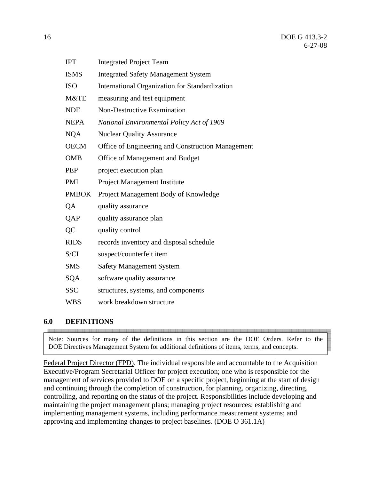| <b>IPT</b>   | <b>Integrated Project Team</b>                    |
|--------------|---------------------------------------------------|
| <b>ISMS</b>  | <b>Integrated Safety Management System</b>        |
| <b>ISO</b>   | International Organization for Standardization    |
| M&TE         | measuring and test equipment                      |
| <b>NDE</b>   | <b>Non-Destructive Examination</b>                |
| <b>NEPA</b>  | National Environmental Policy Act of 1969         |
| <b>NQA</b>   | <b>Nuclear Quality Assurance</b>                  |
| <b>OECM</b>  | Office of Engineering and Construction Management |
| <b>OMB</b>   | Office of Management and Budget                   |
| <b>PEP</b>   | project execution plan                            |
| <b>PMI</b>   | <b>Project Management Institute</b>               |
| <b>PMBOK</b> | Project Management Body of Knowledge              |
| QA           | quality assurance                                 |
| QAP          | quality assurance plan                            |
| QC           | quality control                                   |
| <b>RIDS</b>  | records inventory and disposal schedule           |
| S/CI         | suspect/counterfeit item                          |
| <b>SMS</b>   | <b>Safety Management System</b>                   |
| SQA          | software quality assurance                        |
| <b>SSC</b>   | structures, systems, and components               |
| <b>WBS</b>   | work breakdown structure                          |

#### **6.0 DEFINITIONS**

<u> 1989 - Johann Stoff, fransk politik foar de fan de fan de fan de fan de fan de fan de fan de fan de fan de fan </u>

Note: Sources for many of the definitions in this section are the DOE Orders. Refer to the DOE Directives Management System for additional definitions of items, terms, and concepts.

Federal Project Director (FPD). The individual responsible and accountable to the Acquisition Executive/Program Secretarial Officer for project execution; one who is responsible for the management of services provided to DOE on a specific project, beginning at the start of design and continuing through the completion of construction, for planning, organizing, directing, controlling, and reporting on the status of the project. Responsibilities include developing and maintaining the project management plans; managing project resources; establishing and implementing management systems, including performance measurement systems; and approving and implementing changes to project baselines. (DOE O 361.1A)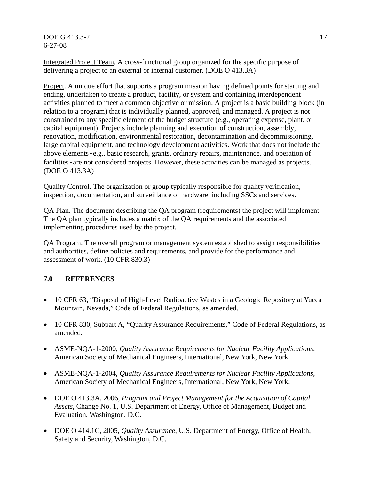**DOE G 413.3-2** 17 6-27-08

Integrated Project Team. A cross-functional group organized for the specific purpose of delivering a project to an external or internal customer. (DOE O 413.3A)

Project. A unique effort that supports a program mission having defined points for starting and ending, undertaken to create a product, facility, or system and containing interdependent activities planned to meet a common objective or mission. A project is a basic building block (in relation to a program) that is individually planned, approved, and managed. A project is not constrained to any specific element of the budget structure (e.g., operating expense, plant, or capital equipment). Projects include planning and execution of construction, assembly, renovation, modification, environmental restoration, decontamination and decommissioning, large capital equipment, and technology development activities. Work that does not include the above elements-e.g., basic research, grants, ordinary repairs, maintenance, and operation of facilities-are not considered projects. However, these activities can be managed as projects. (DOE O 413.3A)

Quality Control. The organization or group typically responsible for quality verification, inspection, documentation, and surveillance of hardware, including SSCs and services.

QA Plan. The document describing the QA program (requirements) the project will implement. The QA plan typically includes a matrix of the QA requirements and the associated implementing procedures used by the project.

QA Program. The overall program or management system established to assign responsibilities and authorities, define policies and requirements, and provide for the performance and assessment of work. (10 CFR 830.3)

#### **7.0 REFERENCES**

- 10 CFR 63, "Disposal of High-Level Radioactive Wastes in a Geologic Repository at Yucca Mountain, Nevada," Code of Federal Regulations, as amended.
- 10 CFR 830, Subpart A, "Quality Assurance Requirements," Code of Federal Regulations, as amended.
- ASME-NQA-1-2000, *Quality Assurance Requirements for Nuclear Facility Applications*, American Society of Mechanical Engineers, International, New York, New York.
- ASME-NQA-1-2004, *Quality Assurance Requirements for Nuclear Facility Applications*, American Society of Mechanical Engineers, International, New York, New York.
- DOE O 413.3A, 2006, *Program and Project Management for the Acquisition of Capital Assets*, Change No. 1, U.S. Department of Energy, Office of Management, Budget and Evaluation, Washington, D.C.
- DOE O 414.1C, 2005, *Quality Assurance*, U.S. Department of Energy, Office of Health, Safety and Security, Washington, D.C.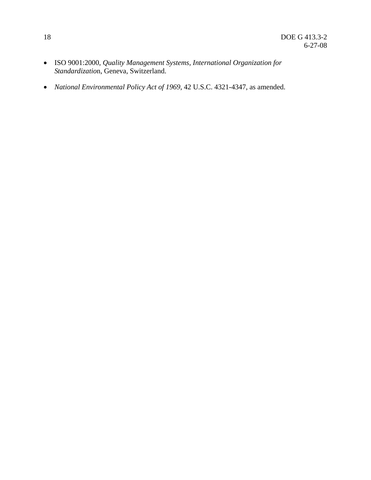- ISO 9001:2000, *Quality Management Systems, International Organization for Standardizatio*n, Geneva, Switzerland.
- *National Environmental Policy Act of 1969*, 42 U.S.C. 4321-4347, as amended.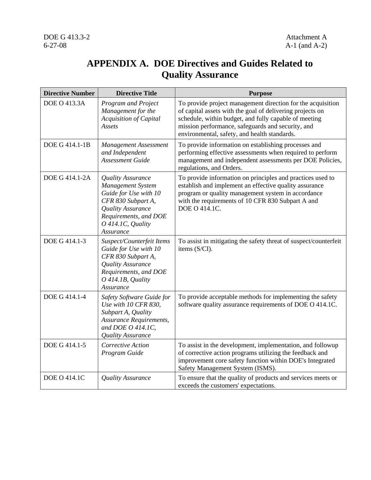## **APPENDIX A. DOE Directives and Guides Related to Quality Assurance**

| <b>Directive Number</b> | <b>Directive Title</b>                                                                                                                                                | <b>Purpose</b>                                                                                                                                                                                                                                                                         |
|-------------------------|-----------------------------------------------------------------------------------------------------------------------------------------------------------------------|----------------------------------------------------------------------------------------------------------------------------------------------------------------------------------------------------------------------------------------------------------------------------------------|
| <b>DOE O 413.3A</b>     | <b>Program and Project</b><br>Management for the<br>Acquisition of Capital<br>Assets                                                                                  | To provide project management direction for the acquisition<br>of capital assets with the goal of delivering projects on<br>schedule, within budget, and fully capable of meeting<br>mission performance, safeguards and security, and<br>environmental, safety, and health standards. |
| DOE G 414.1-1B          | <b>Management Assessment</b><br>and Independent<br><b>Assessment Guide</b>                                                                                            | To provide information on establishing processes and<br>performing effective assessments when required to perform<br>management and independent assessments per DOE Policies,<br>regulations, and Orders.                                                                              |
| DOE G 414.1-2A          | Quality Assurance<br>Management System<br>Guide for Use with 10<br>CFR 830 Subpart A,<br>Quality Assurance<br>Requirements, and DOE<br>O 414.1C, Quality<br>Assurance | To provide information on principles and practices used to<br>establish and implement an effective quality assurance<br>program or quality management system in accordance<br>with the requirements of 10 CFR 830 Subpart A and<br>DOE O 414.1C.                                       |
| DOE G 414.1-3           | Suspect/Counterfeit Items<br>Guide for Use with 10<br>CFR 830 Subpart A,<br>Quality Assurance<br>Requirements, and DOE<br>O 414.1B, Quality<br>Assurance              | To assist in mitigating the safety threat of suspect/counterfeit<br>items (S/CI).                                                                                                                                                                                                      |
| DOE G 414.1-4           | Safety Software Guide for<br>Use with 10 CFR 830,<br>Subpart A, Quality<br><b>Assurance Requirements,</b><br>and DOE O 414.1C,<br><b>Quality Assurance</b>            | To provide acceptable methods for implementing the safety<br>software quality assurance requirements of DOE O 414.1C.                                                                                                                                                                  |
| DOE G 414.1-5           | Corrective Action<br>Program Guide                                                                                                                                    | To assist in the development, implementation, and followup<br>of corrective action programs utilizing the feedback and<br>improvement core safety function within DOE's Integrated<br>Safety Management System (ISMS).                                                                 |
| <b>DOE O 414.1C</b>     | Quality Assurance                                                                                                                                                     | To ensure that the quality of products and services meets or<br>exceeds the customers' expectations.                                                                                                                                                                                   |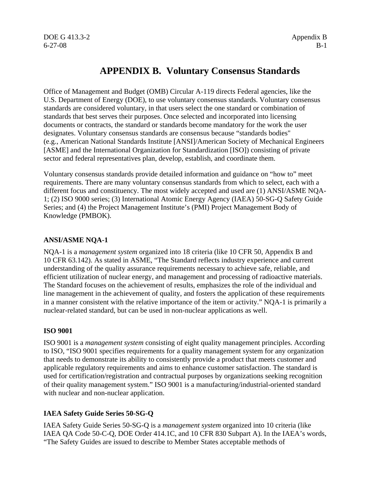### **APPENDIX B. Voluntary Consensus Standards**

Office of Management and Budget (OMB) Circular A-119 directs Federal agencies, like the U.S. Department of Energy (DOE), to use voluntary consensus standards. Voluntary consensus standards are considered voluntary, in that users select the one standard or combination of standards that best serves their purposes. Once selected and incorporated into licensing documents or contracts, the standard or standards become mandatory for the work the user designates. Voluntary consensus standards are consensus because "standards bodies" (e.g., American National Standards Institute [ANSI]/American Society of Mechanical Engineers [ASME] and the International Organization for Standardization [ISO]) consisting of private sector and federal representatives plan, develop, establish, and coordinate them.

Voluntary consensus standards provide detailed information and guidance on "how to" meet requirements. There are many voluntary consensus standards from which to select, each with a different focus and constituency. The most widely accepted and used are (1) ANSI/ASME NQA-1; (2) ISO 9000 series; (3) International Atomic Energy Agency (IAEA) 50-SG-Q Safety Guide Series; and (4) the Project Management Institute's (PMI) Project Management Body of Knowledge (PMBOK).

#### **ANSI/ASME NQA-1**

NQA-1 is a *management system* organized into 18 criteria (like 10 CFR 50, Appendix B and 10 CFR 63.142). As stated in ASME, "The Standard reflects industry experience and current understanding of the quality assurance requirements necessary to achieve safe, reliable, and efficient utilization of nuclear energy, and management and processing of radioactive materials. The Standard focuses on the achievement of results, emphasizes the role of the individual and line management in the achievement of quality, and fosters the application of these requirements in a manner consistent with the relative importance of the item or activity." NQA-1 is primarily a nuclear-related standard, but can be used in non-nuclear applications as well.

#### **ISO 9001**

ISO 9001 is a *management system* consisting of eight quality management principles. According to ISO, "ISO 9001 specifies requirements for a quality management system for any organization that needs to demonstrate its ability to consistently provide a product that meets customer and applicable regulatory requirements and aims to enhance customer satisfaction. The standard is used for certification/registration and contractual purposes by organizations seeking recognition of their quality management system." ISO 9001 is a manufacturing/industrial-oriented standard with nuclear and non-nuclear application.

#### **IAEA Safety Guide Series 50-SG-Q**

IAEA Safety Guide Series 50-SG-Q is a *management system* organized into 10 criteria (like IAEA QA Code 50-C-Q, DOE Order 414.1C, and 10 CFR 830 Subpart A). In the IAEA's words, "The Safety Guides are issued to describe to Member States acceptable methods of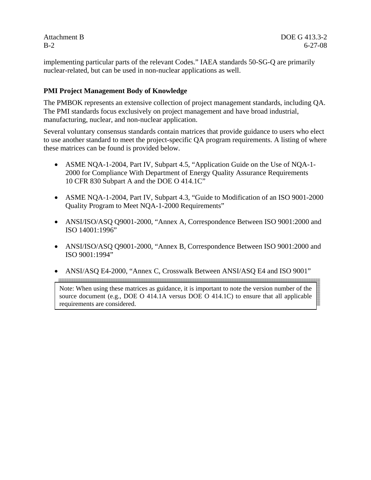implementing particular parts of the relevant Codes." IAEA standards 50-SG-Q are primarily nuclear-related, but can be used in non-nuclear applications as well.

#### **PMI Project Management Body of Knowledge**

The PMBOK represents an extensive collection of project management standards, including QA. The PMI standards focus exclusively on project management and have broad industrial, manufacturing, nuclear, and non-nuclear application.

Several voluntary consensus standards contain matrices that provide guidance to users who elect to use another standard to meet the project-specific QA program requirements. A listing of where these matrices can be found is provided below.

- ASME NOA-1-2004, Part IV, Subpart 4.5, "Application Guide on the Use of NOA-1-2000 for Compliance With Department of Energy Quality Assurance Requirements 10 CFR 830 Subpart A and the DOE O 414.1C"
- ASME NOA-1-2004, Part IV, Subpart 4.3, "Guide to Modification of an ISO 9001-2000 Quality Program to Meet NQA-1-2000 Requirements"
- ANSI/ISO/ASO 09001-2000, "Annex A, Correspondence Between ISO 9001:2000 and ISO 14001:1996"
- ANSI/ISO/ASO 09001-2000, "Annex B, Correspondence Between ISO 9001:2000 and ISO 9001:1994"
- ANSI/ASO E4-2000, "Annex C, Crosswalk Between ANSI/ASO E4 and ISO 9001"

<u> 1989 - Johann Stoff, Amerikaansk politiker (\* 1989)</u>

Note: When using these matrices as guidance, it is important to note the version number of the source document (e.g., DOE O 414.1A versus DOE O 414.1C) to ensure that all applicable requirements are considered.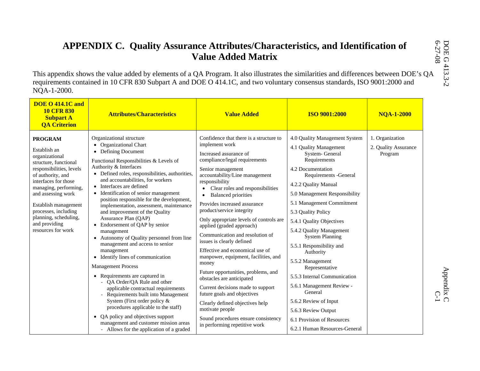| NQA-1-2000.<br><b>DOE O 414.1C and</b><br><b>10 CFR 830</b><br><b>Attributes/Characteristics</b><br><b>Subpart A</b><br><b>QA Criterion</b>                                                                                                                                                                                                                                                                                                                                                                                                                                                                                                                                                                                                                                                                                                                                                                                                                                                                                                                                                                                                                                                                                                             | <b>Value Added</b>                                                                                                                                                                                                                                                                                                                                                                                                                                                                                                                                                                                                                                                                                                                                                                         | <b>ISO 9001:2000</b>                                                                                                                                                                                                                                                                                                                                                                                                                                                                                                                                                        | <b>NOA-1-2000</b>                                  |
|---------------------------------------------------------------------------------------------------------------------------------------------------------------------------------------------------------------------------------------------------------------------------------------------------------------------------------------------------------------------------------------------------------------------------------------------------------------------------------------------------------------------------------------------------------------------------------------------------------------------------------------------------------------------------------------------------------------------------------------------------------------------------------------------------------------------------------------------------------------------------------------------------------------------------------------------------------------------------------------------------------------------------------------------------------------------------------------------------------------------------------------------------------------------------------------------------------------------------------------------------------|--------------------------------------------------------------------------------------------------------------------------------------------------------------------------------------------------------------------------------------------------------------------------------------------------------------------------------------------------------------------------------------------------------------------------------------------------------------------------------------------------------------------------------------------------------------------------------------------------------------------------------------------------------------------------------------------------------------------------------------------------------------------------------------------|-----------------------------------------------------------------------------------------------------------------------------------------------------------------------------------------------------------------------------------------------------------------------------------------------------------------------------------------------------------------------------------------------------------------------------------------------------------------------------------------------------------------------------------------------------------------------------|----------------------------------------------------|
| Organizational structure<br>PROGRAM<br>• Organizational Chart<br>Establish an<br>• Defining Document<br>organizational<br>Functional Responsibilities & Levels of<br>structure, functional<br>Authority & Interfaces<br>responsibilities, levels<br>• Defined roles, responsibilities, authorities,<br>of authority, and<br>and accountabilities, for workers<br>interfaces for those<br>• Interfaces are defined<br>managing, performing,<br>• Identification of senior management<br>and assessing work<br>position responsible for the development,<br>Establish management<br>implementation, assessment, maintenance<br>processes, including<br>and improvement of the Quality<br>planning, scheduling,<br>Assurance Plan (QAP)<br>and providing<br>Endorsement of QAP by senior<br>resources for work<br>management<br>• Autonomy of Quality personnel from line<br>management and access to senior<br>management<br>• Identify lines of communication<br><b>Management Process</b><br>• Requirements are captured in<br>- QA Order/QA Rule and other<br>applicable contractual requirements<br>- Requirements built into Management<br>System (First order policy &<br>procedures applicable to the staff)<br>• QA policy and objectives support | Confidence that there is a structure to<br>implement work<br>Increased assurance of<br>compliance/legal requirements<br>Senior management<br>accountability/Line management<br>responsibility<br>• Clear roles and responsibilities<br>• Balanced priorities<br>Provides increased assurance<br>product/service integrity<br>Only appropriate levels of controls are<br>applied (graded approach)<br>Communication and resolution of<br>issues is clearly defined<br>Effective and economical use of<br>manpower, equipment, facilities, and<br>money<br>Future opportunities, problems, and<br>obstacles are anticipated<br>Current decisions made to support<br>future goals and objectives<br>Clearly defined objectives help<br>motivate people<br>Sound procedures ensure consistency | 4.0 Quality Management System<br>4.1 Quality Management<br>System-General<br>Requirements<br>4.2 Documentation<br>Requirements - General<br>4.2.2 Quality Manual<br>5.0 Management Responsibility<br>5.1 Management Commitment<br>5.3 Quality Policy<br>5.4.1 Quality Objectives<br>5.4.2 Quality Management<br><b>System Planning</b><br>5.5.1 Responsibility and<br>Authority<br>5.5.2 Management<br>Representative<br>5.5.3 Internal Communication<br>5.6.1 Management Review -<br>General<br>5.6.2 Review of Input<br>5.6.3 Review Output<br>6.1 Provision of Resources | 1. Organization<br>2. Quality Assurance<br>Program |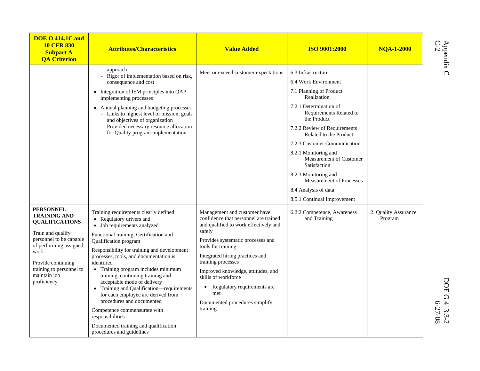| <b>DOE O 414.1C and</b><br><b>10 CFR 830</b><br><b>Subpart A</b><br><b>QA Criterion</b>                                                                                                                                             | <b>Attributes/Characteristics</b>                                                                                                                                                                                                                                                                                                                                                                                                                                                                                                                                                                                               | <b>Value Added</b>                                                                                                                                                                                                                                                                                                                                                                                         | <b>ISO 9001:2000</b>                                                                                                                                                                                                                                                                                                                                                                                                                    | <b>NQA-1-2000</b>               |  |
|-------------------------------------------------------------------------------------------------------------------------------------------------------------------------------------------------------------------------------------|---------------------------------------------------------------------------------------------------------------------------------------------------------------------------------------------------------------------------------------------------------------------------------------------------------------------------------------------------------------------------------------------------------------------------------------------------------------------------------------------------------------------------------------------------------------------------------------------------------------------------------|------------------------------------------------------------------------------------------------------------------------------------------------------------------------------------------------------------------------------------------------------------------------------------------------------------------------------------------------------------------------------------------------------------|-----------------------------------------------------------------------------------------------------------------------------------------------------------------------------------------------------------------------------------------------------------------------------------------------------------------------------------------------------------------------------------------------------------------------------------------|---------------------------------|--|
|                                                                                                                                                                                                                                     | approach<br>- Rigor of implementation based on risk,<br>consequence and cost<br>• Integration of ISM principles into QAP<br>implementing processes<br>• Annual planning and budgeting processes<br>- Links to highest level of mission, goals<br>and objectives of organization<br>- Provided necessary resource allocation<br>for Quality program implementation                                                                                                                                                                                                                                                               | Meet or exceed customer expectations                                                                                                                                                                                                                                                                                                                                                                       | 6.3 Infrastructure<br>6.4 Work Environment<br>7.1 Planning of Product<br>Realization<br>7.2.1 Determination of<br>Requirements Related to<br>the Product<br>7.2.2 Review of Requirements<br>Related to the Product<br>7.2.3 Customer Communication<br>8.2.1 Monitoring and<br>Measurement of Customer<br>Satisfaction<br>8.2.3 Monitoring and<br><b>Measurement of Processes</b><br>8.4 Analysis of data<br>8.5.1 Continual Improvement |                                 |  |
| <b>PERSONNEL</b><br><b>TRAINING AND</b><br><b>QUALIFICATIONS</b><br>Train and qualify<br>personnel to be capable<br>of performing assigned<br>work<br>Provide continuing<br>training to personnel to<br>maintain job<br>proficiency | Training requirements clearly defined<br>• Regulatory drivers and<br>• Job requirements analyzed<br>Functional training, Certification and<br>Qualification program<br>Responsibility for training and development<br>processes, tools, and documentation is<br>identified<br>• Training program includes minimum<br>training, continuing training and<br>acceptable mode of delivery<br>• Training and Qualification—requirements<br>for each employee are derived from<br>procedures and documented<br>Competence commensurate with<br>responsibilities<br>Documented training and qualification<br>procedures and guidelines | Management and customer have<br>confidence that personnel are trained<br>and qualified to work effectively and<br>safely<br>Provides systematic processes and<br>tools for training<br>Integrated hiring practices and<br>training processes<br>Improved knowledge, attitudes, and<br>skills of workforce<br>Regulatory requirements are<br>$\bullet$<br>met<br>Documented procedures simplify<br>training | 6.2.2 Competence, Awareness<br>and Training                                                                                                                                                                                                                                                                                                                                                                                             | 2. Quality Assurance<br>Program |  |

Appendix C

Appendix C  $D$ OE G 413.3-2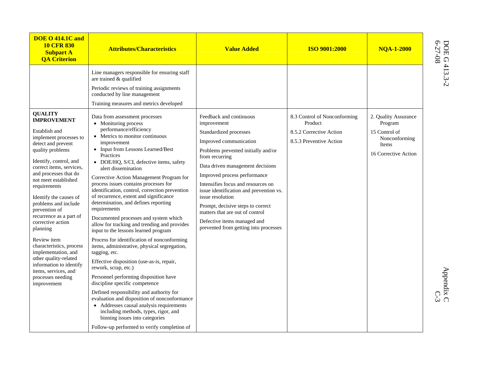| <b>DOE O 414.1C and</b><br><b>10 CFR 830</b><br><b>Subpart A</b><br><b>QA Criterion</b>                                                                                                                                                                                                                                                                                                                                                                                                               | <b>Attributes/Characteristics</b>                                                                                                                                                                                                                                                                                                                                                                                                                                                                                                                                                                                                                                                                                                                                                                                                                                                                                                                                                               | <b>Value Added</b>                                                                                                                                                                                                                                                                                                                                                                                                                                                           | <b>ISO 9001:2000</b>                                                                          | <b>NOA-1-2000</b>                                                                                  |                          |
|-------------------------------------------------------------------------------------------------------------------------------------------------------------------------------------------------------------------------------------------------------------------------------------------------------------------------------------------------------------------------------------------------------------------------------------------------------------------------------------------------------|-------------------------------------------------------------------------------------------------------------------------------------------------------------------------------------------------------------------------------------------------------------------------------------------------------------------------------------------------------------------------------------------------------------------------------------------------------------------------------------------------------------------------------------------------------------------------------------------------------------------------------------------------------------------------------------------------------------------------------------------------------------------------------------------------------------------------------------------------------------------------------------------------------------------------------------------------------------------------------------------------|------------------------------------------------------------------------------------------------------------------------------------------------------------------------------------------------------------------------------------------------------------------------------------------------------------------------------------------------------------------------------------------------------------------------------------------------------------------------------|-----------------------------------------------------------------------------------------------|----------------------------------------------------------------------------------------------------|--------------------------|
| <b>QUALITY</b><br><b>IMPROVEMENT</b><br>Establish and<br>implement processes to<br>detect and prevent<br>quality problems<br>Identify, control, and<br>correct items, services,<br>and processes that do<br>not meet established<br>requirements<br>Identify the causes of<br>problems and include<br>prevention of<br>recurrence as a part of<br>corrective action<br>planning<br>Review item<br>characteristics, process<br>implementation, and<br>other quality-related<br>information to identify | Line managers responsible for ensuring staff<br>are trained & qualified<br>Periodic reviews of training assignments<br>conducted by line management<br>Training measures and metrics developed<br>Data from assessment processes<br>• Monitoring process<br>performance/efficiency<br>• Metrics to monitor continuous<br>improvement<br>• Input from Lessons Learned/Best<br>Practices<br>• DOE/HQ, S/CI, defective items, safety<br>alert dissemination<br>Corrective Action Management Program for<br>process issues contains processes for<br>identification, control, correction prevention<br>of recurrence, extent and significance<br>determination, and defines reporting<br>requirements<br>Documented processes and system which<br>allow for tracking and trending and provides<br>input to the lessons learned program<br>Process for identification of nonconforming<br>items, administrative, physical segregation,<br>tagging, etc.<br>Effective disposition (use-as-is, repair, | Feedback and continuous<br>improvement<br>Standardized processes<br>Improved communication<br>Problems prevented initially and/or<br>from recurring<br>Data driven management decisions<br>Improved process performance<br>Intensifies focus and resources on<br>issue identification and prevention vs.<br>issue resolution<br>Prompt, decisive steps to correct<br>matters that are out of control<br>Defective items managed and<br>prevented from getting into processes | 8.3 Control of Nonconforming<br>Product<br>8.5.2 Corrective Action<br>8.5.3 Preventive Action | 2. Quality Assurance<br>Program<br>15 Control of<br>Nonconforming<br>Items<br>16 Corrective Action | DOE G 413.3-2<br>6-27-08 |
| items, services, and<br>processes needing<br>improvement                                                                                                                                                                                                                                                                                                                                                                                                                                              | rework, scrap, etc.)<br>Personnel performing disposition have<br>discipline specific competence<br>Defined responsibility and authority for<br>evaluation and disposition of nonconformance<br>• Addresses causal analysis requirements<br>including methods, types, rigor, and<br>binning issues into categories<br>Follow-up performed to verify completion of                                                                                                                                                                                                                                                                                                                                                                                                                                                                                                                                                                                                                                |                                                                                                                                                                                                                                                                                                                                                                                                                                                                              |                                                                                               |                                                                                                    | Appendix C<br>$C-3$      |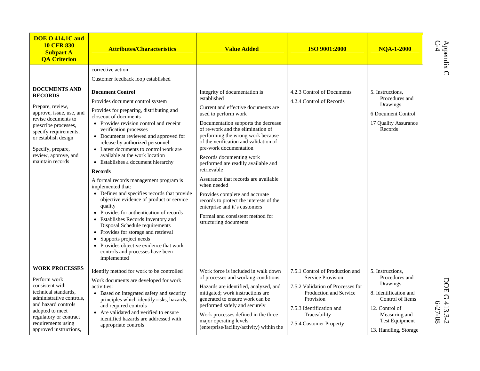| <b>DOE O 414.1C and</b><br><b>10 CFR 830</b><br><b>Subpart A</b><br><b>QA Criterion</b>                                                                                                                                                                | <b>Attributes/Characteristics</b>                                                                                                                                                                                                                                                                                                                                                                                                                                                                                                                                                                                                                                                                                                                                                                                                               | <b>Value Added</b>                                                                                                                                                                                                                                                                                                                                                                                                                                                                                                                                                                                                  | <b>ISO 9001:2000</b>                                                                                                                                                                                    | <b>NOA-1-2000</b>                                                                                                                                                                |
|--------------------------------------------------------------------------------------------------------------------------------------------------------------------------------------------------------------------------------------------------------|-------------------------------------------------------------------------------------------------------------------------------------------------------------------------------------------------------------------------------------------------------------------------------------------------------------------------------------------------------------------------------------------------------------------------------------------------------------------------------------------------------------------------------------------------------------------------------------------------------------------------------------------------------------------------------------------------------------------------------------------------------------------------------------------------------------------------------------------------|---------------------------------------------------------------------------------------------------------------------------------------------------------------------------------------------------------------------------------------------------------------------------------------------------------------------------------------------------------------------------------------------------------------------------------------------------------------------------------------------------------------------------------------------------------------------------------------------------------------------|---------------------------------------------------------------------------------------------------------------------------------------------------------------------------------------------------------|----------------------------------------------------------------------------------------------------------------------------------------------------------------------------------|
| <b>DOCUMENTS AND</b><br><b>RECORDS</b><br>Prepare, review,<br>approve, issue, use, and<br>revise documents to<br>prescribe processes,<br>specify requirements,<br>or establish design<br>Specify, prepare,<br>review, approve, and<br>maintain records | corrective action<br>Customer feedback loop established<br><b>Document Control</b><br>Provides document control system<br>Provides for preparing, distributing and<br>closeout of documents<br>• Provides revision control and receipt<br>verification processes<br>• Documents reviewed and approved for<br>release by authorized personnel<br>• Latest documents to control work are<br>available at the work location<br>• Establishes a document hierarchy<br><b>Records</b><br>A formal records management program is<br>implemented that:<br>• Defines and specifies records that provide<br>objective evidence of product or service<br>quality<br>• Provides for authentication of records<br>• Establishes Records Inventory and<br>Disposal Schedule requirements<br>• Provides for storage and retrieval<br>• Supports project needs | Integrity of documentation is<br>established<br>Current and effective documents are<br>used to perform work<br>Documentation supports the decrease<br>of re-work and the elimination of<br>performing the wrong work because<br>of the verification and validation of<br>pre-work documentation<br>Records documenting work<br>performed are readily available and<br>retrievable<br>Assurance that records are available<br>when needed<br>Provides complete and accurate<br>records to protect the interests of the<br>enterprise and it's customers<br>Formal and consistent method for<br>structuring documents | 4.2.3 Control of Documents<br>4.2.4 Control of Records                                                                                                                                                  | 5. Instructions,<br>Procedures and<br>Drawings<br>6 Document Control<br>17 Quality Assurance<br>Records                                                                          |
| <b>WORK PROCESSES</b><br>Perform work<br>consistent with<br>technical standards,<br>administrative controls,<br>and hazard controls<br>adopted to meet<br>regulatory or contract<br>requirements using<br>approved instructions,                       | • Provides objective evidence that work<br>controls and processes have been<br>implemented<br>Identify method for work to be controlled<br>Work documents are developed for work<br>activities:<br>• Based on integrated safety and security<br>principles which identify risks, hazards,<br>and required controls<br>• Are validated and verified to ensure<br>identified hazards are addressed with<br>appropriate controls                                                                                                                                                                                                                                                                                                                                                                                                                   | Work force is included in walk down<br>of processes and working conditions<br>Hazards are identified, analyzed, and<br>mitigated; work instructions are<br>generated to ensure work can be<br>performed safely and securely<br>Work processes defined in the three<br>major operating levels<br>(enterprise/facility/activity) within the                                                                                                                                                                                                                                                                           | 7.5.1 Control of Production and<br>Service Provision<br>7.5.2 Validation of Processes for<br>Production and Service<br>Provision<br>7.5.3 Identification and<br>Traceability<br>7.5.4 Customer Property | 5. Instructions.<br>Procedures and<br>Drawings<br>8. Identification and<br>Control of Items<br>12. Control of<br>Measuring and<br><b>Test Equipment</b><br>13. Handling, Storage |

Appendix C<br>C-4

Appendix C  $D$ OE G 413.3-2 DOE G 413.3-2<br>6-27-08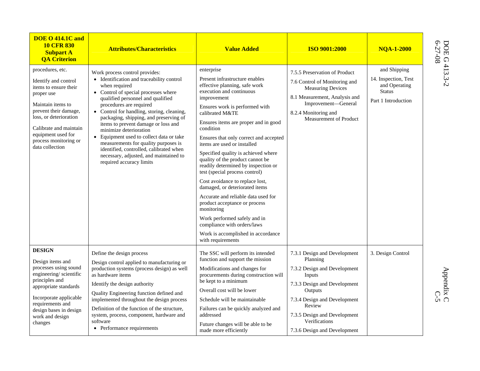| <b>DOE O 414.1C and</b><br><b>10 CFR 830</b><br><b>Subpart A</b><br><b>QA Criterion</b>                                                                                                                                                             | <b>Attributes/Characteristics</b>                                                                                                                                                                                                                                                                                                                                                                                                                                                                                                                                | <b>Value Added</b>                                                                                                                                                                                                                                                                                                                                                                                                                                                                                                                                                                                                                                                                                                                                   | <b>ISO 9001:2000</b>                                                                                                                                                                                                                                     | <b>NOA-1-2000</b>                                                                             | DOE G<br>6-27-08         |
|-----------------------------------------------------------------------------------------------------------------------------------------------------------------------------------------------------------------------------------------------------|------------------------------------------------------------------------------------------------------------------------------------------------------------------------------------------------------------------------------------------------------------------------------------------------------------------------------------------------------------------------------------------------------------------------------------------------------------------------------------------------------------------------------------------------------------------|------------------------------------------------------------------------------------------------------------------------------------------------------------------------------------------------------------------------------------------------------------------------------------------------------------------------------------------------------------------------------------------------------------------------------------------------------------------------------------------------------------------------------------------------------------------------------------------------------------------------------------------------------------------------------------------------------------------------------------------------------|----------------------------------------------------------------------------------------------------------------------------------------------------------------------------------------------------------------------------------------------------------|-----------------------------------------------------------------------------------------------|--------------------------|
| procedures, etc.<br>Identify and control<br>items to ensure their<br>proper use<br>Maintain items to<br>prevent their damage,<br>loss, or deterioration<br>Calibrate and maintain<br>equipment used for<br>process monitoring or<br>data collection | Work process control provides:<br>• Identification and traceability control<br>when required<br>• Control of special processes where<br>qualified personnel and qualified<br>procedures are required<br>• Control for handling, storing, cleaning,<br>packaging, shipping, and preserving of<br>items to prevent damage or loss and<br>minimize deterioration<br>Equipment used to collect data or take<br>measurements for quality purposes is<br>identified, controlled, calibrated when<br>necessary, adjusted, and maintained to<br>required accuracy limits | enterprise<br>Present infrastructure enables<br>effective planning, safe work<br>execution and continuous<br>improvement<br>Ensures work is performed with<br>calibrated M&TE<br>Ensures items are proper and in good<br>condition<br>Ensures that only correct and accepted<br>items are used or installed<br>Specified quality is achieved where<br>quality of the product cannot be<br>readily determined by inspection or<br>test (special process control)<br>Cost avoidance to replace lost,<br>damaged, or deteriorated items<br>Accurate and reliable data used for<br>product acceptance or process<br>monitoring<br>Work performed safely and in<br>compliance with orders/laws<br>Work is accomplished in accordance<br>with requirements | 7.5.5 Preservation of Product<br>7.6 Control of Monitoring and<br><b>Measuring Devices</b><br>8.1 Measurement, Analysis and<br>Improvement-General<br>8.2.4 Monitoring and<br>Measurement of Product                                                     | and Shipping<br>14. Inspection, Test<br>and Operating<br><b>Status</b><br>Part 1 Introduction | $1413.3 - 2$             |
| <b>DESIGN</b><br>Design items and<br>processes using sound<br>engineering/scientific<br>principles and<br>appropriate standards<br>Incorporate applicable<br>requirements and<br>design bases in design<br>work and design<br>changes               | Define the design process<br>Design control applied to manufacturing or<br>production systems (process design) as well<br>as hardware items<br>Identify the design authority<br>Quality Engineering function defined and<br>implemented throughout the design process<br>Definition of the function of the structure,<br>system, process, component, hardware and<br>software<br>• Performance requirements                                                                                                                                                      | The SSC will perform its intended<br>function and support the mission<br>Modifications and changes for<br>procurements during construction will<br>be kept to a minimum<br>Overall cost will be lower<br>Schedule will be maintainable<br>Failures can be quickly analyzed and<br>addressed<br>Future changes will be able to be<br>made more efficiently                                                                                                                                                                                                                                                                                                                                                                                            | 7.3.1 Design and Development<br>Planning<br>7.3.2 Design and Development<br>Inputs<br>7.3.3 Design and Development<br>Outputs<br>7.3.4 Design and Development<br>Review<br>7.3.5 Design and Development<br>Verifications<br>7.3.6 Design and Development | 3. Design Control                                                                             | Appendix C<br>O-S<br>C-S |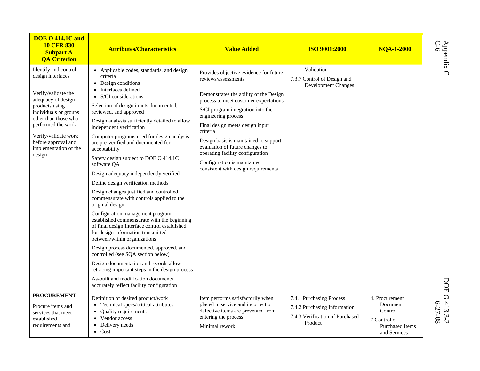| <b>DOE O 414.1C and</b><br><b>10 CFR 830</b><br><b>Subpart A</b><br><b>QA Criterion</b>                                                                                                                                                                           | <b>Attributes/Characteristics</b>                                                                                                                                                                                                                                                                                                                                                                                                                                                                                                                                                                                                                                                                                                                                                                                                                                                                                                                                                                                                                                                                                             | <b>Value Added</b>                                                                                                                                                                                                                                                                                                                                                                                                                                | <b>ISO 9001:2000</b>                                                                                   | <b>NOA-1-2000</b>                                                                               |
|-------------------------------------------------------------------------------------------------------------------------------------------------------------------------------------------------------------------------------------------------------------------|-------------------------------------------------------------------------------------------------------------------------------------------------------------------------------------------------------------------------------------------------------------------------------------------------------------------------------------------------------------------------------------------------------------------------------------------------------------------------------------------------------------------------------------------------------------------------------------------------------------------------------------------------------------------------------------------------------------------------------------------------------------------------------------------------------------------------------------------------------------------------------------------------------------------------------------------------------------------------------------------------------------------------------------------------------------------------------------------------------------------------------|---------------------------------------------------------------------------------------------------------------------------------------------------------------------------------------------------------------------------------------------------------------------------------------------------------------------------------------------------------------------------------------------------------------------------------------------------|--------------------------------------------------------------------------------------------------------|-------------------------------------------------------------------------------------------------|
| Identify and control<br>design interfaces<br>Verify/validate the<br>adequacy of design<br>products using<br>individuals or groups<br>other than those who<br>performed the work<br>Verify/validate work<br>before approval and<br>implementation of the<br>design | • Applicable codes, standards, and design<br>criteria<br>• Design conditions<br>• Interfaces defined<br>$\bullet$ S/CI considerations<br>Selection of design inputs documented,<br>reviewed, and approved<br>Design analysis sufficiently detailed to allow<br>independent verification<br>Computer programs used for design analysis<br>are pre-verified and documented for<br>acceptability<br>Safety design subject to DOE O 414.1C<br>software OA<br>Design adequacy independently verified<br>Define design verification methods<br>Design changes justified and controlled<br>commensurate with controls applied to the<br>original design<br>Configuration management program<br>established commensurate with the beginning<br>of final design Interface control established<br>for design information transmitted<br>between/within organizations<br>Design process documented, approved, and<br>controlled (see SQA section below)<br>Design documentation and records allow<br>retracing important steps in the design process<br>As-built and modification documents<br>accurately reflect facility configuration | Provides objective evidence for future<br>reviews/assessments<br>Demonstrates the ability of the Design<br>process to meet customer expectations<br>S/CI program integration into the<br>engineering process<br>Final design meets design input<br>criteria<br>Design basis is maintained to support<br>evaluation of future changes to<br>operating facility configuration<br>Configuration is maintained<br>consistent with design requirements | Validation<br>7.3.7 Control of Design and<br><b>Development Changes</b>                                |                                                                                                 |
| <b>PROCUREMENT</b><br>Procure items and<br>services that meet<br>established<br>requirements and                                                                                                                                                                  | Definition of desired product/work<br>• Technical specs/critical attributes<br>• Quality requirements<br>• Vendor access<br>Delivery needs<br>$\bullet$ Cost                                                                                                                                                                                                                                                                                                                                                                                                                                                                                                                                                                                                                                                                                                                                                                                                                                                                                                                                                                  | Item performs satisfactorily when<br>placed in service and incorrect or<br>defective items are prevented from<br>entering the process<br>Minimal rework                                                                                                                                                                                                                                                                                           | 7.4.1 Purchasing Process<br>7.4.2 Purchasing Information<br>7.4.3 Verification of Purchased<br>Product | 4. Procurement<br>Document<br>Control<br>7 Control of<br><b>Purchased Items</b><br>and Services |

Appendix C<br>C-6<br>C-6

Appendix C  $D$ OE G 413.3-2 DOE G 413.3-2<br>6-27-08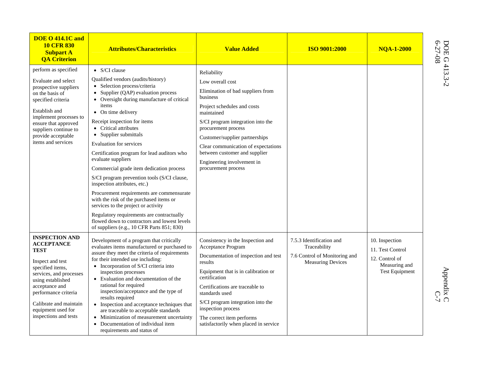| <b>DOE O 414.1C and</b><br><b>10 CFR 830</b><br><b>Subpart A</b><br><b>OA Criterion</b>                                                                                                                                                                              | <b>Attributes/Characteristics</b>                                                                                                                                                                                                                                                                                                                                                                                                                                                                                                                                                                                                                                                                                                                                                                                        | <b>Value Added</b>                                                                                                                                                                                                                                                                                                                                       | <b>ISO 9001:2000</b>                                                                                  | <b>NOA-1-2000</b>                                                                              | DOE G.<br>6-27-08    |
|----------------------------------------------------------------------------------------------------------------------------------------------------------------------------------------------------------------------------------------------------------------------|--------------------------------------------------------------------------------------------------------------------------------------------------------------------------------------------------------------------------------------------------------------------------------------------------------------------------------------------------------------------------------------------------------------------------------------------------------------------------------------------------------------------------------------------------------------------------------------------------------------------------------------------------------------------------------------------------------------------------------------------------------------------------------------------------------------------------|----------------------------------------------------------------------------------------------------------------------------------------------------------------------------------------------------------------------------------------------------------------------------------------------------------------------------------------------------------|-------------------------------------------------------------------------------------------------------|------------------------------------------------------------------------------------------------|----------------------|
| perform as specified<br>Evaluate and select<br>prospective suppliers<br>on the basis of<br>specified criteria<br>Establish and<br>implement processes to<br>ensure that approved<br>suppliers continue to<br>provide acceptable<br>items and services                | $\bullet$ S/CI clause<br>Qualified vendors (audits/history)<br>• Selection process/criteria<br>Supplier (QAP) evaluation process<br>$\bullet$<br>• Oversight during manufacture of critical<br>items<br>• On time delivery<br>Receipt inspection for items<br>• Critical attributes<br>• Supplier submittals<br><b>Evaluation for services</b><br>Certification program for lead auditors who<br>evaluate suppliers<br>Commercial grade item dedication process<br>S/CI program prevention tools (S/CI clause,<br>inspection attributes, etc.)<br>Procurement requirements are commensurate<br>with the risk of the purchased items or<br>services to the project or activity<br>Regulatory requirements are contractually<br>flowed down to contractors and lowest levels<br>of suppliers (e.g., 10 CFR Parts 851; 830) | Reliability<br>Low overall cost<br>Elimination of bad suppliers from<br>business<br>Project schedules and costs<br>maintained<br>S/CI program integration into the<br>procurement process<br>Customer/supplier partnerships<br>Clear communication of expectations<br>between customer and supplier<br>Engineering involvement in<br>procurement process |                                                                                                       |                                                                                                | 413.3-2              |
| <b>INSPECTION AND</b><br><b>ACCEPTANCE</b><br><b>TEST</b><br>Inspect and test<br>specified items,<br>services, and processes<br>using established<br>acceptance and<br>performance criteria<br>Calibrate and maintain<br>equipment used for<br>inspections and tests | Development of a program that critically<br>evaluates items manufactured or purchased to<br>assure they meet the criteria of requirements<br>for their intended use including:<br>• Incorporation of S/CI criteria into<br>inspection processes<br>• Evaluation and documentation of the<br>rational for required<br>inspection/acceptance and the type of<br>results required<br>• Inspection and acceptance techniques that<br>are traceable to acceptable standards<br>• Minimization of measurement uncertainty<br>• Documentation of individual item<br>requirements and status of                                                                                                                                                                                                                                  | Consistency in the Inspection and<br>Acceptance Program<br>Documentation of inspection and test<br>results<br>Equipment that is in calibration or<br>certification<br>Certifications are traceable to<br>standards used<br>S/CI program integration into the<br>inspection process<br>The correct item performs<br>satisfactorily when placed in service | 7.5.3 Identification and<br>Traceability<br>7.6 Control of Monitoring and<br><b>Measuring Devices</b> | 10. Inspection<br>11. Test Control<br>12. Control of<br>Measuring and<br><b>Test Equipment</b> | Appendix C<br>$C$ -7 |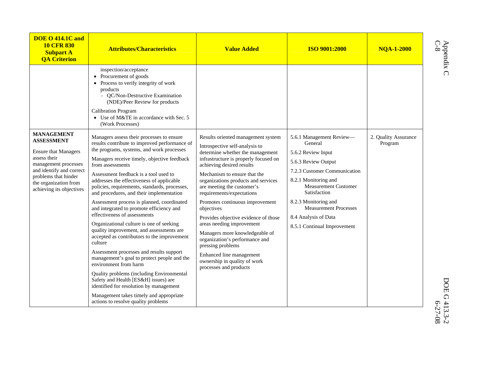| <b>DOE O 414.1C and</b><br><b>10 CFR 830</b><br><b>Subpart A</b><br><b>QA Criterion</b>                                                                                                                                | <b>Attributes/Characteristics</b>                                                                                                                                                                                                                                                                                                                                                                                                                                                                                                                                                                                                                                                                                                                                                                                                                                                                                                                                                                               | <b>Value Added</b>                                                                                                                                                                                                                                                                                                                                                                                                                                                                                                                                                                                                    | <b>ISO 9001:2000</b>                                                                                                                                                                                                                                                                                   | <b>NQA-1-2000</b>               |
|------------------------------------------------------------------------------------------------------------------------------------------------------------------------------------------------------------------------|-----------------------------------------------------------------------------------------------------------------------------------------------------------------------------------------------------------------------------------------------------------------------------------------------------------------------------------------------------------------------------------------------------------------------------------------------------------------------------------------------------------------------------------------------------------------------------------------------------------------------------------------------------------------------------------------------------------------------------------------------------------------------------------------------------------------------------------------------------------------------------------------------------------------------------------------------------------------------------------------------------------------|-----------------------------------------------------------------------------------------------------------------------------------------------------------------------------------------------------------------------------------------------------------------------------------------------------------------------------------------------------------------------------------------------------------------------------------------------------------------------------------------------------------------------------------------------------------------------------------------------------------------------|--------------------------------------------------------------------------------------------------------------------------------------------------------------------------------------------------------------------------------------------------------------------------------------------------------|---------------------------------|
|                                                                                                                                                                                                                        | inspection/acceptance<br>• Procurement of goods<br>• Process to verify integrity of work<br>products<br>- QC/Non-Destructive Examination<br>(NDE)/Peer Review for products<br><b>Calibration Program</b><br>• Use of M&TE in accordance with Sec. 5<br>(Work Processes)                                                                                                                                                                                                                                                                                                                                                                                                                                                                                                                                                                                                                                                                                                                                         |                                                                                                                                                                                                                                                                                                                                                                                                                                                                                                                                                                                                                       |                                                                                                                                                                                                                                                                                                        |                                 |
| <b>MANAGEMENT</b><br><b>ASSESSMENT</b><br><b>Ensure that Managers</b><br>assess their<br>management processes<br>and identify and correct<br>problems that hinder<br>the organization from<br>achieving its objectives | Managers assess their processes to ensure<br>results contribute to improved performance of<br>the programs, systems, and work processes<br>Managers receive timely, objective feedback<br>from assessments<br>Assessment feedback is a tool used to<br>addresses the effectiveness of applicable<br>policies, requirements, standards, processes,<br>and procedures, and their implementation<br>Assessment process is planned, coordinated<br>and integrated to promote efficiency and<br>effectiveness of assessments<br>Organizational culture is one of seeking<br>quality improvement, and assessments are<br>accepted as contributors to the improvement<br>culture<br>Assessment processes and results support<br>management's goal to protect people and the<br>environment from harm<br>Quality problems (including Environmental<br>Safety and Health [ES&H] issues) are<br>identified for resolution by management<br>Management takes timely and appropriate<br>actions to resolve quality problems | Results oriented management system<br>Introspective self-analysis to<br>determine whether the management<br>infrastructure is properly focused on<br>achieving desired results<br>Mechanism to ensure that the<br>organizations products and services<br>are meeting the customer's<br>requirements/expectations<br>Promotes continuous improvement<br>objectives<br>Provides objective evidence of those<br>areas needing improvement<br>Managers more knowledgeable of<br>organization's performance and<br>pressing problems<br>Enhanced line management<br>ownership in quality of work<br>processes and products | 5.6.1 Management Review-<br>General<br>5.6.2 Review Input<br>5.6.3 Review Output<br>7.2.3 Customer Communication<br>8.2.1 Monitoring and<br><b>Measurement Customer</b><br>Satisfaction<br>8.2.3 Monitoring and<br><b>Measurement Processes</b><br>8.4 Analysis of Data<br>8.5.1 Continual Improvement | 2. Quality Assurance<br>Program |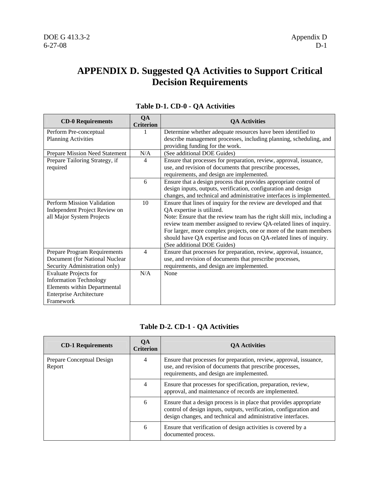### **APPENDIX D. Suggested QA Activities to Support Critical Decision Requirements**

| <b>CD-0 Requirements</b>       | QA<br><b>Criterion</b> | <b>QA Activities</b>                                                   |
|--------------------------------|------------------------|------------------------------------------------------------------------|
| Perform Pre-conceptual         |                        | Determine whether adequate resources have been identified to           |
| <b>Planning Activities</b>     |                        | describe management processes, including planning, scheduling, and     |
|                                |                        | providing funding for the work.                                        |
| Prepare Mission Need Statement | N/A                    | (See additional DOE Guides)                                            |
| Prepare Tailoring Strategy, if | 4                      | Ensure that processes for preparation, review, approval, issuance,     |
| required                       |                        | use, and revision of documents that prescribe processes,               |
|                                |                        | requirements, and design are implemented.                              |
|                                | 6                      | Ensure that a design process that provides appropriate control of      |
|                                |                        | design inputs, outputs, verification, configuration and design         |
|                                |                        | changes, and technical and administrative interfaces is implemented.   |
| Perform Mission Validation     | 10                     | Ensure that lines of inquiry for the review are developed and that     |
| Independent Project Review on  |                        | QA expertise is utilized.                                              |
| all Major System Projects      |                        | Note: Ensure that the review team has the right skill mix, including a |
|                                |                        | review team member assigned to review QA-related lines of inquiry.     |
|                                |                        | For larger, more complex projects, one or more of the team members     |
|                                |                        | should have QA expertise and focus on QA-related lines of inquiry.     |
|                                |                        | (See additional DOE Guides)                                            |
| Prepare Program Requirements   | $\overline{4}$         | Ensure that processes for preparation, review, approval, issuance,     |
| Document (for National Nuclear |                        | use, and revision of documents that prescribe processes,               |
| Security Administration only)  |                        | requirements, and design are implemented.                              |
| <b>Evaluate Projects for</b>   | N/A                    | None                                                                   |
| <b>Information Technology</b>  |                        |                                                                        |
| Elements within Departmental   |                        |                                                                        |
| <b>Enterprise Architecture</b> |                        |                                                                        |
| Framework                      |                        |                                                                        |

#### **Table D-1. CD-0 - QA Activities**

#### **Table D-2. CD-1 - QA Activities**

| <b>CD-1 Requirements</b>            | QA<br><b>Criterion</b> | <b>QA Activities</b>                                                                                                                                                                                     |
|-------------------------------------|------------------------|----------------------------------------------------------------------------------------------------------------------------------------------------------------------------------------------------------|
| Prepare Conceptual Design<br>Report | 4                      | Ensure that processes for preparation, review, approval, issuance,<br>use, and revision of documents that prescribe processes,<br>requirements, and design are implemented.                              |
|                                     | 4                      | Ensure that processes for specification, preparation, review,<br>approval, and maintenance of records are implemented.                                                                                   |
|                                     | 6                      | Ensure that a design process is in place that provides appropriate<br>control of design inputs, outputs, verification, configuration and<br>design changes, and technical and administrative interfaces. |
|                                     | 6                      | Ensure that verification of design activities is covered by a<br>documented process.                                                                                                                     |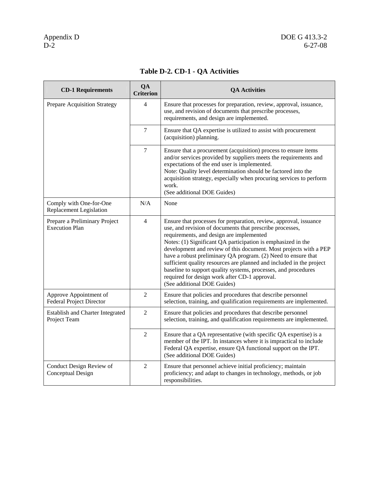| <b>CD-1 Requirements</b>                                  | QA<br><b>Criterion</b> | <b>QA Activities</b>                                                                                                                                                                                                                                                                                                                                                                                                                                                                                                                                                                                      |
|-----------------------------------------------------------|------------------------|-----------------------------------------------------------------------------------------------------------------------------------------------------------------------------------------------------------------------------------------------------------------------------------------------------------------------------------------------------------------------------------------------------------------------------------------------------------------------------------------------------------------------------------------------------------------------------------------------------------|
| Prepare Acquisition Strategy                              | 4                      | Ensure that processes for preparation, review, approval, issuance,<br>use, and revision of documents that prescribe processes,<br>requirements, and design are implemented.                                                                                                                                                                                                                                                                                                                                                                                                                               |
|                                                           | $\overline{7}$         | Ensure that QA expertise is utilized to assist with procurement<br>(acquisition) planning.                                                                                                                                                                                                                                                                                                                                                                                                                                                                                                                |
|                                                           | $\overline{7}$         | Ensure that a procurement (acquisition) process to ensure items<br>and/or services provided by suppliers meets the requirements and<br>expectations of the end user is implemented.<br>Note: Quality level determination should be factored into the<br>acquisition strategy, especially when procuring services to perform<br>work.<br>(See additional DOE Guides)                                                                                                                                                                                                                                       |
| Comply with One-for-One<br><b>Replacement Legislation</b> | N/A                    | None                                                                                                                                                                                                                                                                                                                                                                                                                                                                                                                                                                                                      |
| Prepare a Preliminary Project<br><b>Execution Plan</b>    | $\overline{4}$         | Ensure that processes for preparation, review, approval, issuance<br>use, and revision of documents that prescribe processes,<br>requirements, and design are implemented<br>Notes: (1) Significant QA participation is emphasized in the<br>development and review of this document. Most projects with a PEP<br>have a robust preliminary QA program. (2) Need to ensure that<br>sufficient quality resources are planned and included in the project<br>baseline to support quality systems, processes, and procedures<br>required for design work after CD-1 approval.<br>(See additional DOE Guides) |
| Approve Appointment of<br><b>Federal Project Director</b> | $\overline{2}$         | Ensure that policies and procedures that describe personnel<br>selection, training, and qualification requirements are implemented.                                                                                                                                                                                                                                                                                                                                                                                                                                                                       |
| Establish and Charter Integrated<br>Project Team          | $\overline{2}$         | Ensure that policies and procedures that describe personnel<br>selection, training, and qualification requirements are implemented.                                                                                                                                                                                                                                                                                                                                                                                                                                                                       |
|                                                           | $\overline{2}$         | Ensure that a QA representative (with specific QA expertise) is a<br>member of the IPT. In instances where it is impractical to include<br>Federal QA expertise, ensure QA functional support on the IPT.<br>(See additional DOE Guides)                                                                                                                                                                                                                                                                                                                                                                  |
| Conduct Design Review of<br>Conceptual Design             | $\overline{2}$         | Ensure that personnel achieve initial proficiency; maintain<br>proficiency; and adapt to changes in technology, methods, or job<br>responsibilities.                                                                                                                                                                                                                                                                                                                                                                                                                                                      |

### **Table D-2. CD-1 - QA Activities**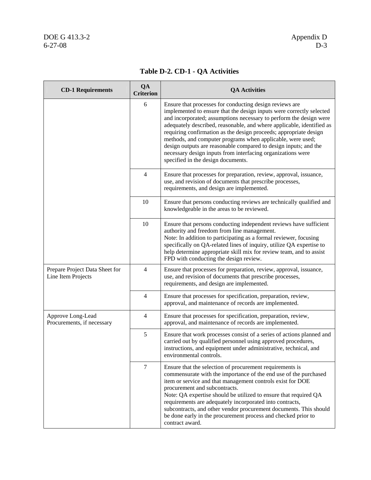| <b>CD-1 Requirements</b>                             | QA<br><b>Criterion</b> | <b>QA Activities</b>                                                                                                                                                                                                                                                                                                                                                                                                                                                                                                                                                                       |
|------------------------------------------------------|------------------------|--------------------------------------------------------------------------------------------------------------------------------------------------------------------------------------------------------------------------------------------------------------------------------------------------------------------------------------------------------------------------------------------------------------------------------------------------------------------------------------------------------------------------------------------------------------------------------------------|
|                                                      | 6                      | Ensure that processes for conducting design reviews are<br>implemented to ensure that the design inputs were correctly selected<br>and incorporated; assumptions necessary to perform the design were<br>adequately described, reasonable, and where applicable, identified as<br>requiring confirmation as the design proceeds; appropriate design<br>methods, and computer programs when applicable, were used;<br>design outputs are reasonable compared to design inputs; and the<br>necessary design inputs from interfacing organizations were<br>specified in the design documents. |
|                                                      | $\overline{4}$         | Ensure that processes for preparation, review, approval, issuance,<br>use, and revision of documents that prescribe processes,<br>requirements, and design are implemented.                                                                                                                                                                                                                                                                                                                                                                                                                |
|                                                      | 10                     | Ensure that persons conducting reviews are technically qualified and<br>knowledgeable in the areas to be reviewed.                                                                                                                                                                                                                                                                                                                                                                                                                                                                         |
|                                                      | 10                     | Ensure that persons conducting independent reviews have sufficient<br>authority and freedom from line management.<br>Note: In addition to participating as a formal reviewer, focusing<br>specifically on QA-related lines of inquiry, utilize QA expertise to<br>help determine appropriate skill mix for review team, and to assist<br>FPD with conducting the design review.                                                                                                                                                                                                            |
| Prepare Project Data Sheet for<br>Line Item Projects | 4                      | Ensure that processes for preparation, review, approval, issuance,<br>use, and revision of documents that prescribe processes,<br>requirements, and design are implemented.                                                                                                                                                                                                                                                                                                                                                                                                                |
|                                                      | $\overline{4}$         | Ensure that processes for specification, preparation, review,<br>approval, and maintenance of records are implemented.                                                                                                                                                                                                                                                                                                                                                                                                                                                                     |
| Approve Long-Lead<br>Procurements, if necessary      | $\overline{4}$         | Ensure that processes for specification, preparation, review,<br>approval, and maintenance of records are implemented.                                                                                                                                                                                                                                                                                                                                                                                                                                                                     |
|                                                      | 5                      | Ensure that work processes consist of a series of actions planned and<br>carried out by qualified personnel using approved procedures,<br>instructions, and equipment under administrative, technical, and<br>environmental controls.                                                                                                                                                                                                                                                                                                                                                      |
|                                                      | 7                      | Ensure that the selection of procurement requirements is<br>commensurate with the importance of the end use of the purchased<br>item or service and that management controls exist for DOE<br>procurement and subcontracts.<br>Note: QA expertise should be utilized to ensure that required QA<br>requirements are adequately incorporated into contracts,<br>subcontracts, and other vendor procurement documents. This should<br>be done early in the procurement process and checked prior to<br>contract award.                                                                       |

### **Table D-2. CD-1 - QA Activities**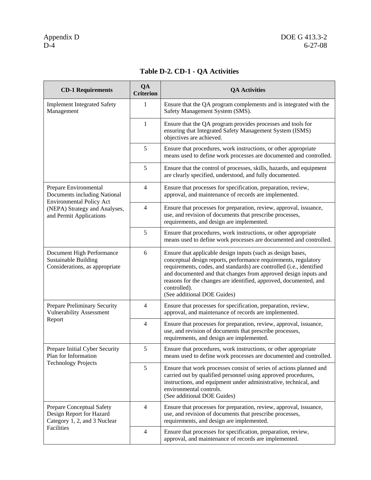| <b>CD-1 Requirements</b>                                                                   | QA<br><b>Criterion</b> | <b>QA Activities</b>                                                                                                                                                                                                                                                                                                                                                                          |
|--------------------------------------------------------------------------------------------|------------------------|-----------------------------------------------------------------------------------------------------------------------------------------------------------------------------------------------------------------------------------------------------------------------------------------------------------------------------------------------------------------------------------------------|
| <b>Implement Integrated Safety</b><br>Management                                           | 1                      | Ensure that the QA program complements and is integrated with the<br>Safety Management System (SMS).                                                                                                                                                                                                                                                                                          |
|                                                                                            | 1                      | Ensure that the QA program provides processes and tools for<br>ensuring that Integrated Safety Management System (ISMS)<br>objectives are achieved.                                                                                                                                                                                                                                           |
|                                                                                            | 5                      | Ensure that procedures, work instructions, or other appropriate<br>means used to define work processes are documented and controlled.                                                                                                                                                                                                                                                         |
|                                                                                            | 5                      | Ensure that the control of processes, skills, hazards, and equipment<br>are clearly specified, understood, and fully documented.                                                                                                                                                                                                                                                              |
| Prepare Environmental<br>Documents including National<br><b>Environmental Policy Act</b>   | 4                      | Ensure that processes for specification, preparation, review,<br>approval, and maintenance of records are implemented.                                                                                                                                                                                                                                                                        |
| (NEPA) Strategy and Analyses,<br>and Permit Applications                                   | 4                      | Ensure that processes for preparation, review, approval, issuance,<br>use, and revision of documents that prescribe processes,<br>requirements, and design are implemented.                                                                                                                                                                                                                   |
|                                                                                            | 5                      | Ensure that procedures, work instructions, or other appropriate<br>means used to define work processes are documented and controlled.                                                                                                                                                                                                                                                         |
| Document High Performance<br><b>Sustainable Building</b><br>Considerations, as appropriate | 6                      | Ensure that applicable design inputs (such as design bases,<br>conceptual design reports, performance requirements, regulatory<br>requirements, codes, and standards) are controlled (i.e., identified<br>and documented and that changes from approved design inputs and<br>reasons for the changes are identified, approved, documented, and<br>controlled).<br>(See additional DOE Guides) |
| Prepare Preliminary Security<br><b>Vulnerability Assessment</b>                            | 4                      | Ensure that processes for specification, preparation, review,<br>approval, and maintenance of records are implemented.                                                                                                                                                                                                                                                                        |
| Report                                                                                     | $\overline{4}$         | Ensure that processes for preparation, review, approval, issuance,<br>use, and revision of documents that prescribe processes,<br>requirements, and design are implemented.                                                                                                                                                                                                                   |
| Prepare Initial Cyber Security<br>Plan for Information                                     | 5                      | Ensure that procedures, work instructions, or other appropriate<br>means used to define work processes are documented and controlled.                                                                                                                                                                                                                                                         |
| <b>Technology Projects</b>                                                                 | 5                      | Ensure that work processes consist of series of actions planned and<br>carried out by qualified personnel using approved procedures,<br>instructions, and equipment under administrative, technical, and<br>environmental controls.<br>(See additional DOE Guides)                                                                                                                            |
| Prepare Conceptual Safety<br>Design Report for Hazard<br>Category 1, 2, and 3 Nuclear      | $\overline{4}$         | Ensure that processes for preparation, review, approval, issuance,<br>use, and revision of documents that prescribe processes,<br>requirements, and design are implemented.                                                                                                                                                                                                                   |
| Facilities                                                                                 | $\overline{4}$         | Ensure that processes for specification, preparation, review,<br>approval, and maintenance of records are implemented.                                                                                                                                                                                                                                                                        |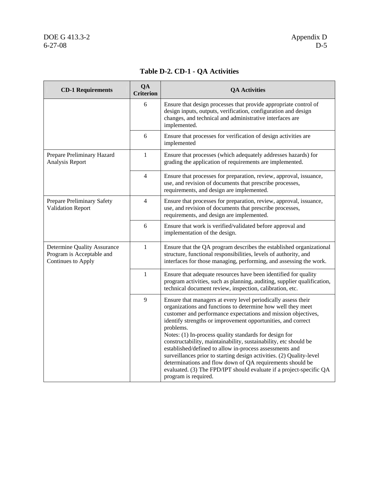| <b>CD-1 Requirements</b>                                                       | QA<br><b>Criterion</b> | <b>QA Activities</b>                                                                                                                                                                                                                                                                                                                                                                                                                                                                                                                                                                                                                                                                                    |
|--------------------------------------------------------------------------------|------------------------|---------------------------------------------------------------------------------------------------------------------------------------------------------------------------------------------------------------------------------------------------------------------------------------------------------------------------------------------------------------------------------------------------------------------------------------------------------------------------------------------------------------------------------------------------------------------------------------------------------------------------------------------------------------------------------------------------------|
|                                                                                | 6                      | Ensure that design processes that provide appropriate control of<br>design inputs, outputs, verification, configuration and design<br>changes, and technical and administrative interfaces are<br>implemented.                                                                                                                                                                                                                                                                                                                                                                                                                                                                                          |
|                                                                                | 6                      | Ensure that processes for verification of design activities are<br>implemented                                                                                                                                                                                                                                                                                                                                                                                                                                                                                                                                                                                                                          |
| Prepare Preliminary Hazard<br>Analysis Report                                  | 1                      | Ensure that processes (which adequately addresses hazards) for<br>grading the application of requirements are implemented.                                                                                                                                                                                                                                                                                                                                                                                                                                                                                                                                                                              |
|                                                                                | $\overline{4}$         | Ensure that processes for preparation, review, approval, issuance,<br>use, and revision of documents that prescribe processes,<br>requirements, and design are implemented.                                                                                                                                                                                                                                                                                                                                                                                                                                                                                                                             |
| Prepare Preliminary Safety<br><b>Validation Report</b>                         | 4                      | Ensure that processes for preparation, review, approval, issuance,<br>use, and revision of documents that prescribe processes,<br>requirements, and design are implemented.                                                                                                                                                                                                                                                                                                                                                                                                                                                                                                                             |
|                                                                                | 6                      | Ensure that work is verified/validated before approval and<br>implementation of the design.                                                                                                                                                                                                                                                                                                                                                                                                                                                                                                                                                                                                             |
| Determine Quality Assurance<br>Program is Acceptable and<br>Continues to Apply | $\mathbf{1}$           | Ensure that the QA program describes the established organizational<br>structure, functional responsibilities, levels of authority, and<br>interfaces for those managing, performing, and assessing the work.                                                                                                                                                                                                                                                                                                                                                                                                                                                                                           |
|                                                                                | 1                      | Ensure that adequate resources have been identified for quality<br>program activities, such as planning, auditing, supplier qualification,<br>technical document review, inspection, calibration, etc.                                                                                                                                                                                                                                                                                                                                                                                                                                                                                                  |
|                                                                                | 9                      | Ensure that managers at every level periodically assess their<br>organizations and functions to determine how well they meet<br>customer and performance expectations and mission objectives,<br>identify strengths or improvement opportunities, and correct<br>problems.<br>Notes: (1) In-process quality standards for design for<br>constructability, maintainability, sustainability, etc should be<br>established/defined to allow in-process assessments and<br>surveillances prior to starting design activities. (2) Quality-level<br>determinations and flow down of QA requirements should be<br>evaluated. (3) The FPD/IPT should evaluate if a project-specific QA<br>program is required. |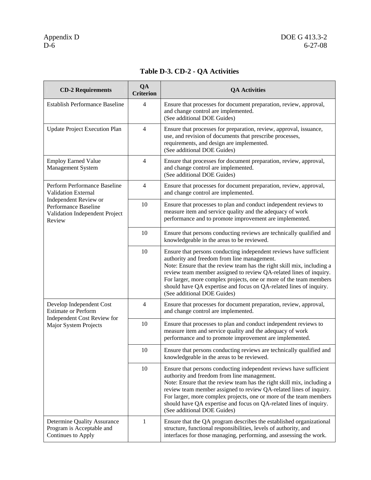| <b>CD-2 Requirements</b>                                                                                       | QA<br><b>Criterion</b> | <b>QA Activities</b>                                                                                                                                                                                                                                                                                                                                                                                                                         |
|----------------------------------------------------------------------------------------------------------------|------------------------|----------------------------------------------------------------------------------------------------------------------------------------------------------------------------------------------------------------------------------------------------------------------------------------------------------------------------------------------------------------------------------------------------------------------------------------------|
| <b>Establish Performance Baseline</b>                                                                          | $\overline{4}$         | Ensure that processes for document preparation, review, approval,<br>and change control are implemented.<br>(See additional DOE Guides)                                                                                                                                                                                                                                                                                                      |
| <b>Update Project Execution Plan</b>                                                                           | $\overline{4}$         | Ensure that processes for preparation, review, approval, issuance,<br>use, and revision of documents that prescribe processes,<br>requirements, and design are implemented.<br>(See additional DOE Guides)                                                                                                                                                                                                                                   |
| <b>Employ Earned Value</b><br>Management System                                                                | $\overline{4}$         | Ensure that processes for document preparation, review, approval,<br>and change control are implemented.<br>(See additional DOE Guides)                                                                                                                                                                                                                                                                                                      |
| Perform Performance Baseline<br>Validation External                                                            | $\overline{4}$         | Ensure that processes for document preparation, review, approval,<br>and change control are implemented.                                                                                                                                                                                                                                                                                                                                     |
| Independent Review or<br>Performance Baseline<br>Validation Independent Project<br>Review                      | 10                     | Ensure that processes to plan and conduct independent reviews to<br>measure item and service quality and the adequacy of work<br>performance and to promote improvement are implemented.                                                                                                                                                                                                                                                     |
|                                                                                                                | 10                     | Ensure that persons conducting reviews are technically qualified and<br>knowledgeable in the areas to be reviewed.                                                                                                                                                                                                                                                                                                                           |
|                                                                                                                | 10                     | Ensure that persons conducting independent reviews have sufficient<br>authority and freedom from line management.<br>Note: Ensure that the review team has the right skill mix, including a<br>review team member assigned to review QA-related lines of inquiry.<br>For larger, more complex projects, one or more of the team members<br>should have QA expertise and focus on QA-related lines of inquiry.<br>(See additional DOE Guides) |
| Develop Independent Cost<br><b>Estimate or Perform</b><br>Independent Cost Review for<br>Major System Projects | $\overline{4}$         | Ensure that processes for document preparation, review, approval,<br>and change control are implemented.                                                                                                                                                                                                                                                                                                                                     |
|                                                                                                                | 10                     | Ensure that processes to plan and conduct independent reviews to<br>measure item and service quality and the adequacy of work<br>performance and to promote improvement are implemented.                                                                                                                                                                                                                                                     |
|                                                                                                                | 10                     | Ensure that persons conducting reviews are technically qualified and<br>knowledgeable in the areas to be reviewed.                                                                                                                                                                                                                                                                                                                           |
|                                                                                                                | 10                     | Ensure that persons conducting independent reviews have sufficient<br>authority and freedom from line management.<br>Note: Ensure that the review team has the right skill mix, including a<br>review team member assigned to review QA-related lines of inquiry.<br>For larger, more complex projects, one or more of the team members<br>should have QA expertise and focus on QA-related lines of inquiry.<br>(See additional DOE Guides) |
| Determine Quality Assurance<br>Program is Acceptable and<br>Continues to Apply                                 | $\mathbf{1}$           | Ensure that the QA program describes the established organizational<br>structure, functional responsibilities, levels of authority, and<br>interfaces for those managing, performing, and assessing the work.                                                                                                                                                                                                                                |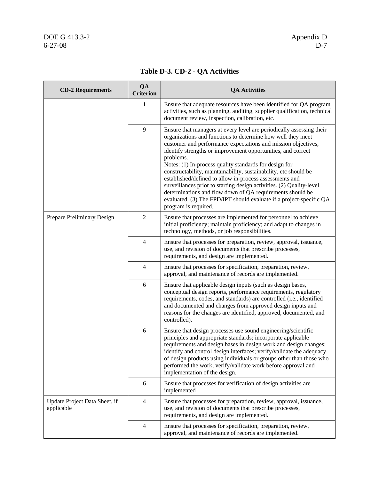| <b>CD-2 Requirements</b>                    | QA<br><b>Criterion</b> | <b>QA Activities</b>                                                                                                                                                                                                                                                                                                                                                                                                                                                                                                                                                                                                                                                                                           |
|---------------------------------------------|------------------------|----------------------------------------------------------------------------------------------------------------------------------------------------------------------------------------------------------------------------------------------------------------------------------------------------------------------------------------------------------------------------------------------------------------------------------------------------------------------------------------------------------------------------------------------------------------------------------------------------------------------------------------------------------------------------------------------------------------|
|                                             | $\mathbf{1}$           | Ensure that adequate resources have been identified for QA program<br>activities, such as planning, auditing, supplier qualification, technical<br>document review, inspection, calibration, etc.                                                                                                                                                                                                                                                                                                                                                                                                                                                                                                              |
|                                             | 9                      | Ensure that managers at every level are periodically assessing their<br>organizations and functions to determine how well they meet<br>customer and performance expectations and mission objectives,<br>identify strengths or improvement opportunities, and correct<br>problems.<br>Notes: (1) In-process quality standards for design for<br>constructability, maintainability, sustainability, etc should be<br>established/defined to allow in-process assessments and<br>surveillances prior to starting design activities. (2) Quality-level<br>determinations and flow down of QA requirements should be<br>evaluated. (3) The FPD/IPT should evaluate if a project-specific QA<br>program is required. |
| Prepare Preliminary Design                  | $\overline{2}$         | Ensure that processes are implemented for personnel to achieve<br>initial proficiency; maintain proficiency; and adapt to changes in<br>technology, methods, or job responsibilities.                                                                                                                                                                                                                                                                                                                                                                                                                                                                                                                          |
|                                             | $\overline{4}$         | Ensure that processes for preparation, review, approval, issuance,<br>use, and revision of documents that prescribe processes,<br>requirements, and design are implemented.                                                                                                                                                                                                                                                                                                                                                                                                                                                                                                                                    |
|                                             | $\overline{4}$         | Ensure that processes for specification, preparation, review,<br>approval, and maintenance of records are implemented.                                                                                                                                                                                                                                                                                                                                                                                                                                                                                                                                                                                         |
|                                             | 6                      | Ensure that applicable design inputs (such as design bases,<br>conceptual design reports, performance requirements, regulatory<br>requirements, codes, and standards) are controlled (i.e., identified<br>and documented and changes from approved design inputs and<br>reasons for the changes are identified, approved, documented, and<br>controlled).                                                                                                                                                                                                                                                                                                                                                      |
|                                             | 6                      | Ensure that design processes use sound engineering/scientific<br>principles and appropriate standards; incorporate applicable<br>requirements and design bases in design work and design changes;<br>identify and control design interfaces; verify/validate the adequacy<br>of design products using individuals or groups other than those who<br>performed the work; verify/validate work before approval and<br>implementation of the design.                                                                                                                                                                                                                                                              |
|                                             | 6                      | Ensure that processes for verification of design activities are<br>implemented                                                                                                                                                                                                                                                                                                                                                                                                                                                                                                                                                                                                                                 |
| Update Project Data Sheet, if<br>applicable | 4                      | Ensure that processes for preparation, review, approval, issuance,<br>use, and revision of documents that prescribe processes,<br>requirements, and design are implemented.                                                                                                                                                                                                                                                                                                                                                                                                                                                                                                                                    |
|                                             | 4                      | Ensure that processes for specification, preparation, review,<br>approval, and maintenance of records are implemented.                                                                                                                                                                                                                                                                                                                                                                                                                                                                                                                                                                                         |

### **Table D-3. CD-2 - QA Activities**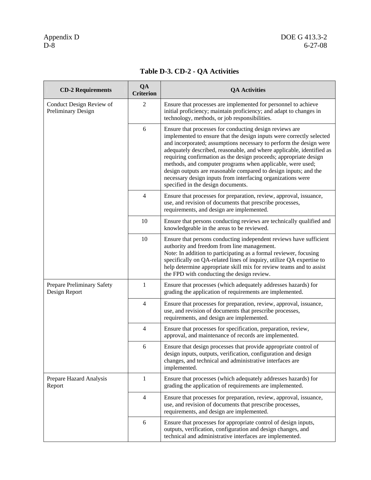| <b>CD-2 Requirements</b>                       | QA<br><b>Criterion</b> | <b>QA Activities</b>                                                                                                                                                                                                                                                                                                                                                                                                                                                                                                                                                                       |
|------------------------------------------------|------------------------|--------------------------------------------------------------------------------------------------------------------------------------------------------------------------------------------------------------------------------------------------------------------------------------------------------------------------------------------------------------------------------------------------------------------------------------------------------------------------------------------------------------------------------------------------------------------------------------------|
| Conduct Design Review of<br>Preliminary Design | 2                      | Ensure that processes are implemented for personnel to achieve<br>initial proficiency; maintain proficiency; and adapt to changes in<br>technology, methods, or job responsibilities.                                                                                                                                                                                                                                                                                                                                                                                                      |
|                                                | 6                      | Ensure that processes for conducting design reviews are<br>implemented to ensure that the design inputs were correctly selected<br>and incorporated; assumptions necessary to perform the design were<br>adequately described, reasonable, and where applicable, identified as<br>requiring confirmation as the design proceeds; appropriate design<br>methods, and computer programs when applicable, were used;<br>design outputs are reasonable compared to design inputs; and the<br>necessary design inputs from interfacing organizations were<br>specified in the design documents. |
|                                                | $\overline{4}$         | Ensure that processes for preparation, review, approval, issuance,<br>use, and revision of documents that prescribe processes,<br>requirements, and design are implemented.                                                                                                                                                                                                                                                                                                                                                                                                                |
|                                                | 10                     | Ensure that persons conducting reviews are technically qualified and<br>knowledgeable in the areas to be reviewed.                                                                                                                                                                                                                                                                                                                                                                                                                                                                         |
|                                                | 10                     | Ensure that persons conducting independent reviews have sufficient<br>authority and freedom from line management.<br>Note: In addition to participating as a formal reviewer, focusing<br>specifically on QA-related lines of inquiry, utilize QA expertise to<br>help determine appropriate skill mix for review teams and to assist<br>the FPD with conducting the design review.                                                                                                                                                                                                        |
| Prepare Preliminary Safety<br>Design Report    | $\mathbf{1}$           | Ensure that processes (which adequately addresses hazards) for<br>grading the application of requirements are implemented.                                                                                                                                                                                                                                                                                                                                                                                                                                                                 |
|                                                | $\overline{4}$         | Ensure that processes for preparation, review, approval, issuance,<br>use, and revision of documents that prescribe processes,<br>requirements, and design are implemented.                                                                                                                                                                                                                                                                                                                                                                                                                |
|                                                | $\overline{4}$         | Ensure that processes for specification, preparation, review,<br>approval, and maintenance of records are implemented.                                                                                                                                                                                                                                                                                                                                                                                                                                                                     |
|                                                | 6                      | Ensure that design processes that provide appropriate control of<br>design inputs, outputs, verification, configuration and design<br>changes, and technical and administrative interfaces are<br>implemented.                                                                                                                                                                                                                                                                                                                                                                             |
| Prepare Hazard Analysis<br>Report              | 1                      | Ensure that processes (which adequately addresses hazards) for<br>grading the application of requirements are implemented.                                                                                                                                                                                                                                                                                                                                                                                                                                                                 |
|                                                | $\overline{4}$         | Ensure that processes for preparation, review, approval, issuance,<br>use, and revision of documents that prescribe processes,<br>requirements, and design are implemented.                                                                                                                                                                                                                                                                                                                                                                                                                |
|                                                | 6                      | Ensure that processes for appropriate control of design inputs,<br>outputs, verification, configuration and design changes, and<br>technical and administrative interfaces are implemented.                                                                                                                                                                                                                                                                                                                                                                                                |

### **Table D-3. CD-2 - QA Activities**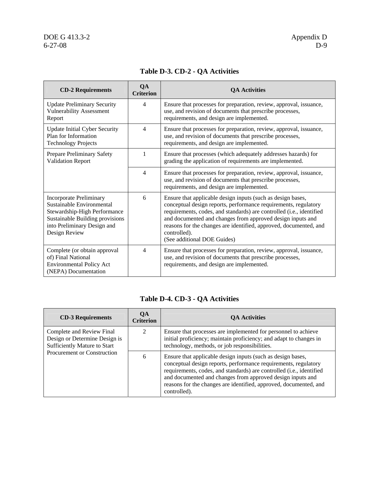| <b>CD-2 Requirements</b>                                                                                                                                                       | QA<br><b>Criterion</b> | <b>OA Activities</b>                                                                                                                                                                                                                                                                                                                                                                     |
|--------------------------------------------------------------------------------------------------------------------------------------------------------------------------------|------------------------|------------------------------------------------------------------------------------------------------------------------------------------------------------------------------------------------------------------------------------------------------------------------------------------------------------------------------------------------------------------------------------------|
| <b>Update Preliminary Security</b><br><b>Vulnerability Assessment</b><br>Report                                                                                                | $\overline{4}$         | Ensure that processes for preparation, review, approval, issuance,<br>use, and revision of documents that prescribe processes,<br>requirements, and design are implemented.                                                                                                                                                                                                              |
| <b>Update Initial Cyber Security</b><br>Plan for Information<br><b>Technology Projects</b>                                                                                     | 4                      | Ensure that processes for preparation, review, approval, issuance,<br>use, and revision of documents that prescribe processes,<br>requirements, and design are implemented.                                                                                                                                                                                                              |
| Prepare Preliminary Safety<br><b>Validation Report</b>                                                                                                                         | 1                      | Ensure that processes (which adequately addresses hazards) for<br>grading the application of requirements are implemented.                                                                                                                                                                                                                                                               |
|                                                                                                                                                                                | $\overline{4}$         | Ensure that processes for preparation, review, approval, issuance,<br>use, and revision of documents that prescribe processes,<br>requirements, and design are implemented.                                                                                                                                                                                                              |
| <b>Incorporate Preliminary</b><br>Sustainable Environmental<br>Stewardship-High Performance<br>Sustainable Building provisions<br>into Preliminary Design and<br>Design Review | 6                      | Ensure that applicable design inputs (such as design bases,<br>conceptual design reports, performance requirements, regulatory<br>requirements, codes, and standards) are controlled (i.e., identified<br>and documented and changes from approved design inputs and<br>reasons for the changes are identified, approved, documented, and<br>controlled).<br>(See additional DOE Guides) |
| Complete (or obtain approval<br>of) Final National<br><b>Environmental Policy Act</b><br>(NEPA) Documentation                                                                  | $\overline{4}$         | Ensure that processes for preparation, review, approval, issuance,<br>use, and revision of documents that prescribe processes,<br>requirements, and design are implemented.                                                                                                                                                                                                              |

### **Table D-3. CD-2 - QA Activities**

### **Table D-4. CD-3 - QA Activities**

| <b>CD-3 Requirements</b>                                                                   | <b>OA</b><br><b>Criterion</b>    | <b>QA Activities</b>                                                                                                                                                                                                                                                                                                                                      |
|--------------------------------------------------------------------------------------------|----------------------------------|-----------------------------------------------------------------------------------------------------------------------------------------------------------------------------------------------------------------------------------------------------------------------------------------------------------------------------------------------------------|
| Complete and Review Final<br>Design or Determine Design is<br>Sufficiently Mature to Start | $\mathcal{D}_{\mathcal{L}}$      | Ensure that processes are implemented for personnel to achieve<br>initial proficiency; maintain proficiency; and adapt to changes in<br>technology, methods, or job responsibilities.                                                                                                                                                                     |
|                                                                                            | Procurement or Construction<br>6 | Ensure that applicable design inputs (such as design bases,<br>conceptual design reports, performance requirements, regulatory<br>requirements, codes, and standards) are controlled (i.e., identified<br>and documented and changes from approved design inputs and<br>reasons for the changes are identified, approved, documented, and<br>controlled). |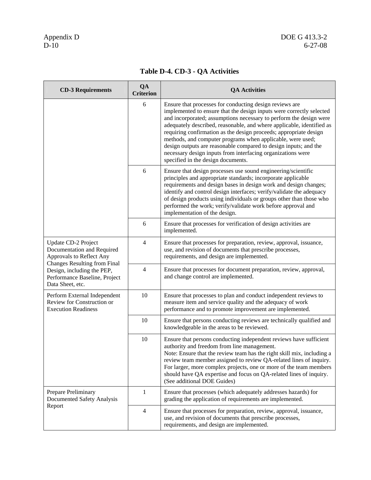| <b>CD-3 Requirements</b>                                                                                               | QA<br><b>Criterion</b> | <b>QA Activities</b>                                                                                                                                                                                                                                                                                                                                                                                                                                                                                                                                                                       |
|------------------------------------------------------------------------------------------------------------------------|------------------------|--------------------------------------------------------------------------------------------------------------------------------------------------------------------------------------------------------------------------------------------------------------------------------------------------------------------------------------------------------------------------------------------------------------------------------------------------------------------------------------------------------------------------------------------------------------------------------------------|
|                                                                                                                        | 6                      | Ensure that processes for conducting design reviews are<br>implemented to ensure that the design inputs were correctly selected<br>and incorporated; assumptions necessary to perform the design were<br>adequately described, reasonable, and where applicable, identified as<br>requiring confirmation as the design proceeds; appropriate design<br>methods, and computer programs when applicable, were used;<br>design outputs are reasonable compared to design inputs; and the<br>necessary design inputs from interfacing organizations were<br>specified in the design documents. |
|                                                                                                                        | 6                      | Ensure that design processes use sound engineering/scientific<br>principles and appropriate standards; incorporate applicable<br>requirements and design bases in design work and design changes;<br>identify and control design interfaces; verify/validate the adequacy<br>of design products using individuals or groups other than those who<br>performed the work; verify/validate work before approval and<br>implementation of the design.                                                                                                                                          |
|                                                                                                                        | 6                      | Ensure that processes for verification of design activities are<br>implemented.                                                                                                                                                                                                                                                                                                                                                                                                                                                                                                            |
| Update CD-2 Project<br>Documentation and Required<br>Approvals to Reflect Any                                          | $\overline{4}$         | Ensure that processes for preparation, review, approval, issuance,<br>use, and revision of documents that prescribe processes,<br>requirements, and design are implemented.                                                                                                                                                                                                                                                                                                                                                                                                                |
| <b>Changes Resulting from Final</b><br>Design, including the PEP,<br>Performance Baseline, Project<br>Data Sheet, etc. | $\overline{4}$         | Ensure that processes for document preparation, review, approval,<br>and change control are implemented.                                                                                                                                                                                                                                                                                                                                                                                                                                                                                   |
| Perform External Independent<br>Review for Construction or<br><b>Execution Readiness</b>                               | 10                     | Ensure that processes to plan and conduct independent reviews to<br>measure item and service quality and the adequacy of work<br>performance and to promote improvement are implemented.                                                                                                                                                                                                                                                                                                                                                                                                   |
|                                                                                                                        | 10                     | Ensure that persons conducting reviews are technically qualified and<br>knowledgeable in the areas to be reviewed.                                                                                                                                                                                                                                                                                                                                                                                                                                                                         |
|                                                                                                                        | 10                     | Ensure that persons conducting independent reviews have sufficient<br>authority and freedom from line management.<br>Note: Ensure that the review team has the right skill mix, including a<br>review team member assigned to review QA-related lines of inquiry.<br>For larger, more complex projects, one or more of the team members<br>should have QA expertise and focus on QA-related lines of inquiry.<br>(See additional DOE Guides)                                                                                                                                               |
| Prepare Preliminary<br>Documented Safety Analysis                                                                      | 1                      | Ensure that processes (which adequately addresses hazards) for<br>grading the application of requirements are implemented.                                                                                                                                                                                                                                                                                                                                                                                                                                                                 |
| Report                                                                                                                 | $\overline{4}$         | Ensure that processes for preparation, review, approval, issuance,<br>use, and revision of documents that prescribe processes,<br>requirements, and design are implemented.                                                                                                                                                                                                                                                                                                                                                                                                                |

### **Table D-4. CD-3 - QA Activities**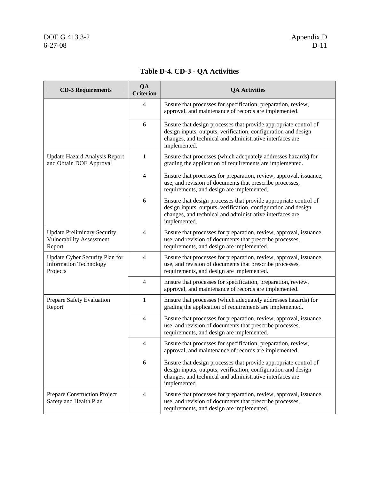### **Table D-4. CD-3 - QA Activities**

| <b>CD-3 Requirements</b>                                                        | QA<br><b>Criterion</b> | <b>QA Activities</b>                                                                                                                                                                                           |
|---------------------------------------------------------------------------------|------------------------|----------------------------------------------------------------------------------------------------------------------------------------------------------------------------------------------------------------|
|                                                                                 | 4                      | Ensure that processes for specification, preparation, review,<br>approval, and maintenance of records are implemented.                                                                                         |
|                                                                                 | 6                      | Ensure that design processes that provide appropriate control of<br>design inputs, outputs, verification, configuration and design<br>changes, and technical and administrative interfaces are<br>implemented. |
| <b>Update Hazard Analysis Report</b><br>and Obtain DOE Approval                 | $\mathbf{1}$           | Ensure that processes (which adequately addresses hazards) for<br>grading the application of requirements are implemented.                                                                                     |
|                                                                                 | $\overline{4}$         | Ensure that processes for preparation, review, approval, issuance,<br>use, and revision of documents that prescribe processes,<br>requirements, and design are implemented.                                    |
|                                                                                 | 6                      | Ensure that design processes that provide appropriate control of<br>design inputs, outputs, verification, configuration and design<br>changes, and technical and administrative interfaces are<br>implemented. |
| <b>Update Preliminary Security</b><br><b>Vulnerability Assessment</b><br>Report | 4                      | Ensure that processes for preparation, review, approval, issuance,<br>use, and revision of documents that prescribe processes,<br>requirements, and design are implemented.                                    |
| Update Cyber Security Plan for<br><b>Information Technology</b><br>Projects     | $\overline{4}$         | Ensure that processes for preparation, review, approval, issuance,<br>use, and revision of documents that prescribe processes,<br>requirements, and design are implemented.                                    |
|                                                                                 | 4                      | Ensure that processes for specification, preparation, review,<br>approval, and maintenance of records are implemented.                                                                                         |
| Prepare Safety Evaluation<br>Report                                             | $\mathbf{1}$           | Ensure that processes (which adequately addresses hazards) for<br>grading the application of requirements are implemented.                                                                                     |
|                                                                                 | 4                      | Ensure that processes for preparation, review, approval, issuance,<br>use, and revision of documents that prescribe processes,<br>requirements, and design are implemented.                                    |
|                                                                                 | 4                      | Ensure that processes for specification, preparation, review,<br>approval, and maintenance of records are implemented.                                                                                         |
|                                                                                 | 6                      | Ensure that design processes that provide appropriate control of<br>design inputs, outputs, verification, configuration and design<br>changes, and technical and administrative interfaces are<br>implemented. |
| Prepare Construction Project<br>Safety and Health Plan                          | $\overline{4}$         | Ensure that processes for preparation, review, approval, issuance,<br>use, and revision of documents that prescribe processes,<br>requirements, and design are implemented.                                    |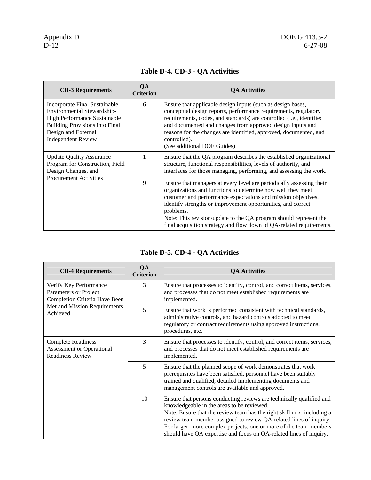| <b>CD-3 Requirements</b>                                                                                                                                                                 | QA<br><b>Criterion</b> | <b>OA Activities</b>                                                                                                                                                                                                                                                                                                                                                                                                           |
|------------------------------------------------------------------------------------------------------------------------------------------------------------------------------------------|------------------------|--------------------------------------------------------------------------------------------------------------------------------------------------------------------------------------------------------------------------------------------------------------------------------------------------------------------------------------------------------------------------------------------------------------------------------|
| Incorporate Final Sustainable<br>Environmental Stewardship-<br>High Performance Sustainable<br><b>Building Provisions into Final</b><br>Design and External<br><b>Independent Review</b> | 6                      | Ensure that applicable design inputs (such as design bases,<br>conceptual design reports, performance requirements, regulatory<br>requirements, codes, and standards) are controlled (i.e., identified<br>and documented and changes from approved design inputs and<br>reasons for the changes are identified, approved, documented, and<br>controlled).<br>(See additional DOE Guides)                                       |
| <b>Update Quality Assurance</b><br>Program for Construction, Field<br>Design Changes, and<br><b>Procurement Activities</b>                                                               |                        | Ensure that the QA program describes the established organizational<br>structure, functional responsibilities, levels of authority, and<br>interfaces for those managing, performing, and assessing the work.                                                                                                                                                                                                                  |
|                                                                                                                                                                                          | 9                      | Ensure that managers at every level are periodically assessing their<br>organizations and functions to determine how well they meet<br>customer and performance expectations and mission objectives,<br>identify strengths or improvement opportunities, and correct<br>problems.<br>Note: This revision/update to the QA program should represent the<br>final acquisition strategy and flow down of QA-related requirements. |

### **Table D-4. CD-3 - QA Activities**

### **Table D-5. CD-4 - QA Activities**

| <b>CD-4 Requirements</b>                                                                                                     | QA<br><b>Criterion</b> | <b>QA Activities</b>                                                                                                                                                                                                                                                                                                                                                                                           |
|------------------------------------------------------------------------------------------------------------------------------|------------------------|----------------------------------------------------------------------------------------------------------------------------------------------------------------------------------------------------------------------------------------------------------------------------------------------------------------------------------------------------------------------------------------------------------------|
| Verify Key Performance<br>Parameters or Project<br>Completion Criteria Have Been<br>Met and Mission Requirements<br>Achieved | 3                      | Ensure that processes to identify, control, and correct items, services,<br>and processes that do not meet established requirements are<br>implemented.                                                                                                                                                                                                                                                        |
|                                                                                                                              | 5                      | Ensure that work is performed consistent with technical standards,<br>administrative controls, and hazard controls adopted to meet<br>regulatory or contract requirements using approved instructions,<br>procedures, etc.                                                                                                                                                                                     |
| <b>Complete Readiness</b><br><b>Assessment or Operational</b><br><b>Readiness Review</b>                                     | 3                      | Ensure that processes to identify, control, and correct items, services,<br>and processes that do not meet established requirements are<br>implemented.                                                                                                                                                                                                                                                        |
|                                                                                                                              | 5                      | Ensure that the planned scope of work demonstrates that work<br>prerequisites have been satisfied, personnel have been suitably<br>trained and qualified, detailed implementing documents and<br>management controls are available and approved.                                                                                                                                                               |
|                                                                                                                              | 10                     | Ensure that persons conducting reviews are technically qualified and<br>knowledgeable in the areas to be reviewed.<br>Note: Ensure that the review team has the right skill mix, including a<br>review team member assigned to review QA-related lines of inquiry.<br>For larger, more complex projects, one or more of the team members<br>should have QA expertise and focus on QA-related lines of inquiry. |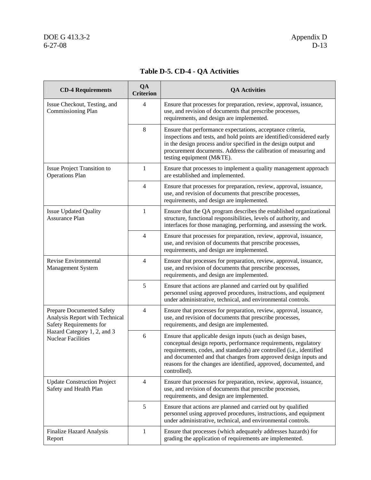# DOE G 413.3-2<br>6-27-08

| <b>CD-4 Requirements</b>                                                                                                                           | QA<br><b>Criterion</b> | <b>QA Activities</b>                                                                                                                                                                                                                                                                                                                                           |
|----------------------------------------------------------------------------------------------------------------------------------------------------|------------------------|----------------------------------------------------------------------------------------------------------------------------------------------------------------------------------------------------------------------------------------------------------------------------------------------------------------------------------------------------------------|
| Issue Checkout, Testing, and<br>Commissioning Plan                                                                                                 | 4                      | Ensure that processes for preparation, review, approval, issuance,<br>use, and revision of documents that prescribe processes,<br>requirements, and design are implemented.                                                                                                                                                                                    |
|                                                                                                                                                    | 8                      | Ensure that performance expectations, acceptance criteria,<br>inspections and tests, and hold points are identified/considered early<br>in the design process and/or specified in the design output and<br>procurement documents. Address the calibration of measuring and<br>testing equipment (M&TE).                                                        |
| Issue Project Transition to<br><b>Operations Plan</b>                                                                                              | 1                      | Ensure that processes to implement a quality management approach<br>are established and implemented.                                                                                                                                                                                                                                                           |
|                                                                                                                                                    | $\overline{4}$         | Ensure that processes for preparation, review, approval, issuance,<br>use, and revision of documents that prescribe processes,<br>requirements, and design are implemented.                                                                                                                                                                                    |
| <b>Issue Updated Quality</b><br><b>Assurance Plan</b>                                                                                              | $\mathbf{1}$           | Ensure that the QA program describes the established organizational<br>structure, functional responsibilities, levels of authority, and<br>interfaces for those managing, performing, and assessing the work.                                                                                                                                                  |
|                                                                                                                                                    | $\overline{4}$         | Ensure that processes for preparation, review, approval, issuance,<br>use, and revision of documents that prescribe processes,<br>requirements, and design are implemented.                                                                                                                                                                                    |
| Revise Environmental<br>Management System                                                                                                          | 4                      | Ensure that processes for preparation, review, approval, issuance,<br>use, and revision of documents that prescribe processes,<br>requirements, and design are implemented.                                                                                                                                                                                    |
|                                                                                                                                                    | 5                      | Ensure that actions are planned and carried out by qualified<br>personnel using approved procedures, instructions, and equipment<br>under administrative, technical, and environmental controls.                                                                                                                                                               |
| Prepare Documented Safety<br>Analysis Report with Technical<br>Safety Requirements for<br>Hazard Category 1, 2, and 3<br><b>Nuclear Facilities</b> | $\overline{4}$         | Ensure that processes for preparation, review, approval, issuance,<br>use, and revision of documents that prescribe processes,<br>requirements, and design are implemented.                                                                                                                                                                                    |
|                                                                                                                                                    | 6                      | Ensure that applicable design inputs (such as design bases,<br>conceptual design reports, performance requirements, regulatory<br>requirements, codes, and standards) are controlled (i.e., identified<br>and documented and that changes from approved design inputs and<br>reasons for the changes are identified, approved, documented, and<br>controlled). |
| <b>Update Construction Project</b><br>Safety and Health Plan                                                                                       | $\overline{4}$         | Ensure that processes for preparation, review, approval, issuance,<br>use, and revision of documents that prescribe processes,<br>requirements, and design are implemented.                                                                                                                                                                                    |
|                                                                                                                                                    | 5                      | Ensure that actions are planned and carried out by qualified<br>personnel using approved procedures, instructions, and equipment<br>under administrative, technical, and environmental controls.                                                                                                                                                               |
| Finalize Hazard Analysis<br>Report                                                                                                                 | 1                      | Ensure that processes (which adequately addresses hazards) for<br>grading the application of requirements are implemented.                                                                                                                                                                                                                                     |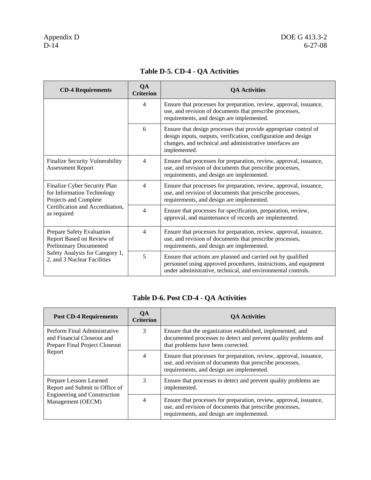| <b>CD-4 Requirements</b>                                                                                                                           | QA<br><b>Criterion</b> | <b>OA Activities</b>                                                                                                                                                                                           |
|----------------------------------------------------------------------------------------------------------------------------------------------------|------------------------|----------------------------------------------------------------------------------------------------------------------------------------------------------------------------------------------------------------|
|                                                                                                                                                    | 4                      | Ensure that processes for preparation, review, approval, issuance,<br>use, and revision of documents that prescribe processes,<br>requirements, and design are implemented.                                    |
|                                                                                                                                                    | 6                      | Ensure that design processes that provide appropriate control of<br>design inputs, outputs, verification, configuration and design<br>changes, and technical and administrative interfaces are<br>implemented. |
| Finalize Security Vulnerability<br><b>Assessment Report</b>                                                                                        | $\overline{4}$         | Ensure that processes for preparation, review, approval, issuance,<br>use, and revision of documents that prescribe processes,<br>requirements, and design are implemented.                                    |
| Finalize Cyber Security Plan<br>for Information Technology<br>Projects and Complete<br>Certification and Accreditation,<br>as required             | 4                      | Ensure that processes for preparation, review, approval, issuance,<br>use, and revision of documents that prescribe processes,<br>requirements, and design are implemented.                                    |
|                                                                                                                                                    | 4                      | Ensure that processes for specification, preparation, review,<br>approval, and maintenance of records are implemented.                                                                                         |
| Prepare Safety Evaluation<br>Report Based on Review of<br>Preliminary Documented<br>Safety Analysis for Category 1,<br>2, and 3 Nuclear Facilities | $\overline{4}$         | Ensure that processes for preparation, review, approval, issuance,<br>use, and revision of documents that prescribe processes,<br>requirements, and design are implemented.                                    |
|                                                                                                                                                    | 5                      | Ensure that actions are planned and carried out by qualified<br>personnel using approved procedures, instructions, and equipment<br>under administrative, technical, and environmental controls.               |

### **Table D-5. CD-4 - QA Activities**

### **Table D-6. Post CD-4 - QA Activities**

| <b>Post CD-4 Requirements</b>                                                                                         | OА<br><b>Criterion</b> | <b>QA Activities</b>                                                                                                                                                        |
|-----------------------------------------------------------------------------------------------------------------------|------------------------|-----------------------------------------------------------------------------------------------------------------------------------------------------------------------------|
| Perform Final Administrative<br>and Financial Closeout and<br>Prepare Final Project Closeout<br>Report                | 3                      | Ensure that the organization established, implemented, and<br>documented processes to detect and prevent quality problems and<br>that problems have been corrected.         |
|                                                                                                                       | 4                      | Ensure that processes for preparation, review, approval, issuance,<br>use, and revision of documents that prescribe processes,<br>requirements, and design are implemented. |
| Prepare Lessons Learned<br>Report and Submit to Office of<br><b>Engineering and Construction</b><br>Management (OECM) | 3                      | Ensure that processes to detect and prevent quality problems are<br>implemented.                                                                                            |
|                                                                                                                       | 4                      | Ensure that processes for preparation, review, approval, issuance,<br>use, and revision of documents that prescribe processes,<br>requirements, and design are implemented. |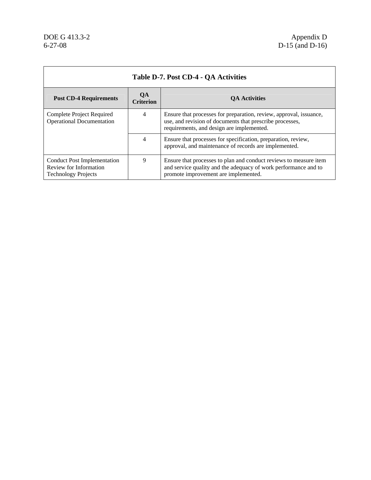$\mathbf{r}$ 

 $\overline{a}$ 

| Table D-7. Post CD-4 - QA Activities                                                       |                               |                                                                                                                                                                              |  |  |
|--------------------------------------------------------------------------------------------|-------------------------------|------------------------------------------------------------------------------------------------------------------------------------------------------------------------------|--|--|
| <b>Post CD-4 Requirements</b>                                                              | <b>OA</b><br><b>Criterion</b> | <b>QA Activities</b>                                                                                                                                                         |  |  |
| Complete Project Required<br><b>Operational Documentation</b>                              | 4                             | Ensure that processes for preparation, review, approval, issuance,<br>use, and revision of documents that prescribe processes,<br>requirements, and design are implemented.  |  |  |
|                                                                                            | 4                             | Ensure that processes for specification, preparation, review,<br>approval, and maintenance of records are implemented.                                                       |  |  |
| <b>Conduct Post Implementation</b><br>Review for Information<br><b>Technology Projects</b> | 9                             | Ensure that processes to plan and conduct reviews to measure item<br>and service quality and the adequacy of work performance and to<br>promote improvement are implemented. |  |  |